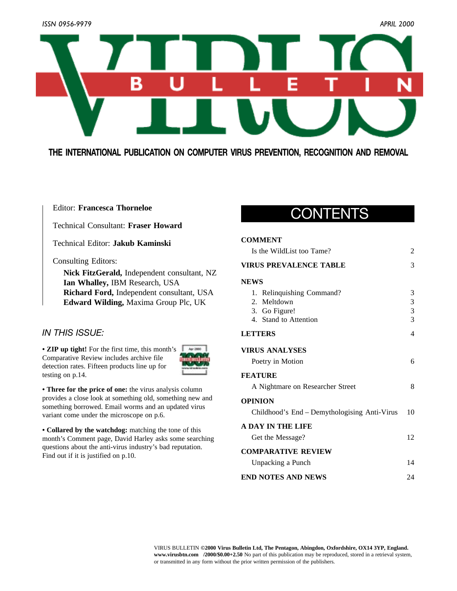

## **THE INTERNATIONAL PUBLICATION ON COMPUTER VIRUS PREVENTION, RECOGNITION AND REMOVAL**

### Editor: **Francesca Thorneloe**

Technical Consultant: **Fraser Howard**

Technical Editor: **Jakub Kaminski**

Consulting Editors:

**Nick FitzGerald,** Independent consultant, NZ **Ian Whalley,** IBM Research, USA **Richard Ford,** Independent consultant, USA **Edward Wilding,** Maxima Group Plc, UK

## *IN THIS ISSUE:*

• **ZIP up tight!** For the first time, this month's Comparative Review includes archive file [detection rates. Fifteen products line up for](#page-13-0) testing on p.14.



**• Three for the price of one:** the virus analysis column [provides a close look at something old, something new and](#page-5-0) something borrowed. Email worms and an updated virus variant come under the microscope on p.6.

**• Collared by the watchdog:** matching the tone of this [month's Comment page, David Harley asks some searching](#page-9-0) questions about the anti-virus industry's bad reputation. Find out if it is justified on p.10.

## CONTENTS

### **COMMENT**

| Is the WildList too Tame?                    | 2  |
|----------------------------------------------|----|
| <b>VIRUS PREVALENCE TABLE</b>                | 3  |
| <b>NEWS</b>                                  |    |
| 1. Relinquishing Command?                    | 3  |
| 2. Meltdown                                  | 3  |
| 3. Go Figure!                                | 3  |
| 4. Stand to Attention                        | 3  |
| <b>LETTERS</b>                               | 4  |
| <b>VIRUS ANALYSES</b>                        |    |
| Poetry in Motion                             | 6  |
| <b>FEATURE</b>                               |    |
| A Nightmare on Researcher Street             | 8  |
| <b>OPINION</b>                               |    |
| Childhood's End – Demythologising Anti-Virus | 10 |
| <b>A DAY IN THE LIFE</b>                     |    |
| Get the Message?                             | 12 |
| <b>COMPARATIVE REVIEW</b>                    |    |
| Unpacking a Punch                            | 14 |
| <b>END NOTES AND NEWS</b>                    | 24 |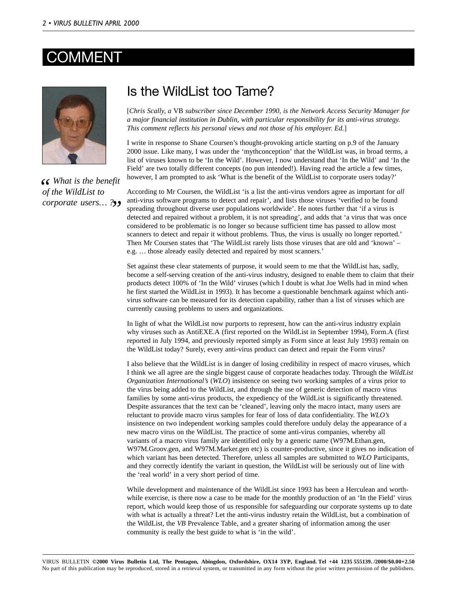## <span id="page-1-0"></span>COMMEN



*What is the benefit* of the WildList to *of the WildList to corporate users… ? "*

## Is the WildList too Tame?

[*Chris Scally, a* VB *subscriber since December 1990, is the Network Access Security Manager for a major financial institution in Dublin, with particular responsibility for its anti-virus strategy. This comment reflects his personal views and not those of his employer. Ed.*]

I write in response to Shane Coursen's thought-provoking article starting on p.9 of the January 2000 issue. Like many, I was under the 'mythconception' that the WildList was, in broad terms, a list of viruses known to be 'In the Wild'. However, I now understand that 'In the Wild' and 'In the Field' are two totally different concepts (no pun intended!). Having read the article a few times, however, I am prompted to ask 'What is the benefit of the WildList to corporate users today?'

According to Mr Coursen, the WildList 'is a list the anti-virus vendors agree as important for *all* anti-virus software programs to detect and repair', and lists those viruses 'verified to be found spreading throughout diverse user populations worldwide'. He notes further that 'if a virus is detected and repaired without a problem, it is not spreading', and adds that 'a virus that was once considered to be problematic is no longer so because sufficient time has passed to allow most scanners to detect and repair it without problems. Thus, the virus is usually no longer reported.' Then Mr Coursen states that 'The WildList rarely lists those viruses that are old and 'known' – e.g. … those already easily detected and repaired by most scanners.'

Set against these clear statements of purpose, it would seem to me that the WildList has, sadly, become a self-serving creation of the anti-virus industry, designed to enable them to claim that their products detect 100% of 'In the Wild' viruses (which I doubt is what Joe Wells had in mind when he first started the WildList in 1993). It has become a questionable benchmark against which antivirus software can be measured for its detection capability, rather than a list of viruses which are currently causing problems to users and organizations.

In light of what the WildList now purports to represent, how can the anti-virus industry explain why viruses such as AntiEXE.A (first reported on the WildList in September 1994), Form.A (first reported in July 1994, and previously reported simply as Form since at least July 1993) remain on the WildList today? Surely, every anti-virus product can detect and repair the Form virus?

I also believe that the WildList is in danger of losing credibility in respect of macro viruses, which I think we all agree are the single biggest cause of corporate headaches today. Through the *WildList Organization International's* (*WLO*) insistence on seeing two working samples of a virus prior to the virus being added to the WildList, and through the use of generic detection of macro virus families by some anti-virus products, the expediency of the WildList is significantly threatened. Despite assurances that the text can be 'cleaned', leaving only the macro intact, many users are reluctant to provide macro virus samples for fear of loss of data confidentiality. The *WLO's* insistence on two independent working samples could therefore unduly delay the appearance of a new macro virus on the WildList. The practice of some anti-virus companies, whereby all variants of a macro virus family are identified only by a generic name (W97M.Ethan.gen, W97M.Groov.gen, and W97M.Marker.gen etc) is counter-productive, since it gives no indication of which variant has been detected. Therefore, unless all samples are submitted to *WLO* Participants, and they correctly identify the variant in question, the WildList will be seriously out of line with the 'real world' in a very short period of time.

While development and maintenance of the WildList since 1993 has been a Herculean and worthwhile exercise, is there now a case to be made for the monthly production of an 'In the Field' virus report, which would keep those of us responsible for safeguarding our corporate systems up to date with what is actually a threat? Let the anti-virus industry retain the WildList, but a combination of the WildList, the *VB* Prevalence Table, and a greater sharing of information among the user community is really the best guide to what is 'in the wild'.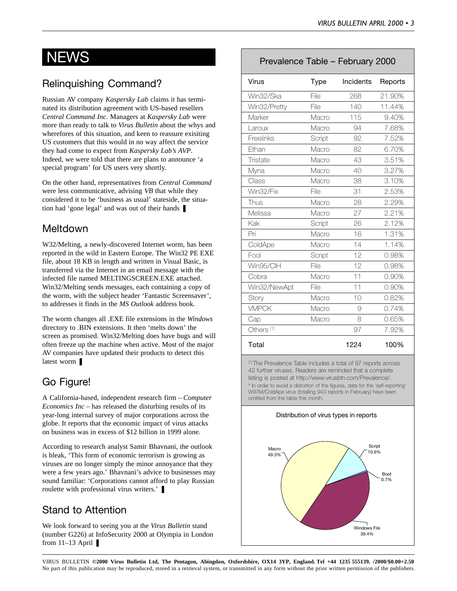## <span id="page-2-0"></span>**NEWS**

## Relinquishing Command?

Russian AV company *Kaspersky Lab* claims it has terminated its distribution agreement with US-based resellers *Central Command Inc*. Managers at *Kaspersky Lab* were more than ready to talk to *Virus Bulletin* about the whys and wherefores of this situation, and keen to reassure exisiting US customers that this would in no way affect the service they had come to expect from *Kaspersky Lab's AVP*. Indeed, we were told that there are plans to announce 'a special program' for US users very shortly.

On the other hand, representatives from *Central Command* were less communicative, advising *VB* that while they considered it to be 'business as usual' stateside, the situation had 'gone legal' and was out of their hands ❚

## Meltdown

W32/Melting, a newly-discovered Internet worm, has been reported in the wild in Eastern Europe. The Win32 PE EXE file, about 18 KB in length and written in Visual Basic, is transferred via the Internet in an email message with the infected file named MELTINGSCREEN.EXE attached. Win32/Melting sends messages, each containing a copy of the worm, with the subject header 'Fantastic Screensaver', to addresses it finds in the *MS Outlook* address book.

The worm changes all .EXE file extensions in the *Windows* directory to .BIN extensions. It then 'melts down' the screen as promised. Win32/Melting does have bugs and will often freeze up the machine when active. Most of the major AV companies have updated their products to detect this latest worm ❚

## Go Figure!

A California-based, independent research firm – *Computer Economics Inc* – has released the disturbing results of its year-long internal survey of major corporations across the globe. It reports that the economic impact of virus attacks on business was in excess of \$12 billion in 1999 alone.

According to research analyst Samir Bhavnani, the outlook is bleak, 'This form of economic terrorism is growing as viruses are no longer simply the minor annoyance that they were a few years ago.' Bhavnani's advice to businesses may sound familiar: 'Corporations cannot afford to play Russian roulette with professional virus writers.' ❚

## Stand to Attention

We look forward to seeing you at the *Virus Bulletin* stand (number G226) at InfoSecurity 2000 at Olympia in London from  $11-13$  April  $\blacksquare$ 

## Prevalence Table – February 2000

| <b>Virus</b>          | Type   | Incidents | Reports |
|-----------------------|--------|-----------|---------|
| Win32/Ska             | File   | 268       | 21.90%  |
| Win32/Pretty          | File   | 140       | 11.44%  |
| Marker                | Macro  | 115       | 9.40%   |
| Laroux                | Macro  | 94        | 7.68%   |
| Freelinks             | Script | 92        | 7.52%   |
| Ethan                 | Macro  | 82        | 6.70%   |
| Tristate              | Macro  | 43        | 3.51%   |
| Myna                  | Macro  | 40        | 3.27%   |
| Class                 | Macro  | 38        | 3.10%   |
| Win32/Fix             | File   | 31        | 2.53%   |
| Thus                  | Macro  | 28        | 2.29%   |
| Melissa               | Macro  | 27        | 2.21%   |
| Kak                   | Script | 26        | 2.12%   |
| Pri                   | Macro  | 16        | 1.31%   |
| ColdApe               | Macro  | 14        | 1.14%   |
| Fool                  | Script | 12        | 0.98%   |
| Win95/ClH             | File   | 12        | 0.98%   |
| Cobra                 | Macro  | 11        | 0.90%   |
| Win32/NewApt          | File   | 11        | 0.90%   |
| Story                 | Macro  | 10        | 0.82%   |
| <b>VMPCK</b>          | Macro  | 9         | 0.74%   |
| Cap                   | Macro  | 8         | 0.65%   |
| Others <sup>[1]</sup> |        | 97        | 7.92%   |
| Total                 |        | 1224      | 100%    |

[1] The Prevalence Table includes a total of 97 reports across 42 further viruses. Readers are reminded that a complete listing is posted at http://www.virusbtn.com/Prevalence/. \* In order to avoid a distortion of the figures, data for the 'self-reporting' W97M/ColdApe virus (totalling 943 reports in February) have been omitted from the table this month.

Distribution of virus types in reports

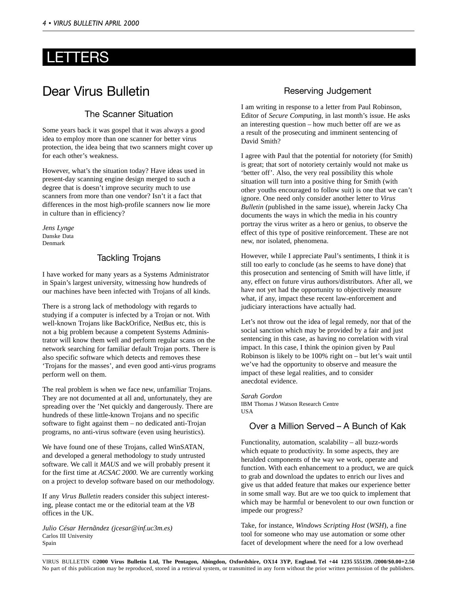## <span id="page-3-0"></span>LETTERS

## Dear Virus Bulletin

## The Scanner Situation

Some years back it was gospel that it was always a good idea to employ more than one scanner for better virus protection, the idea being that two scanners might cover up for each other's weakness.

However, what's the situation today? Have ideas used in present-day scanning engine design merged to such a degree that is doesn't improve security much to use scanners from more than one vendor? Isn't it a fact that differences in the most high-profile scanners now lie more in culture than in efficiency?

*Jens Lynge* Danske Data Denmark

## Tackling Trojans

I have worked for many years as a Systems Administrator in Spain's largest university, witnessing how hundreds of our machines have been infected with Trojans of all kinds.

There is a strong lack of methodology with regards to studying if a computer is infected by a Trojan or not. With well-known Trojans like BackOrifice, NetBus etc, this is not a big problem because a competent Systems Administrator will know them well and perform regular scans on the network searching for familiar default Trojan ports. There is also specific software which detects and removes these 'Trojans for the masses', and even good anti-virus programs perform well on them.

The real problem is when we face new, unfamiliar Trojans. They are not documented at all and, unfortunately, they are spreading over the 'Net quickly and dangerously. There are hundreds of these little-known Trojans and no specific software to fight against them – no dedicated anti-Trojan programs, no anti-virus software (even using heuristics).

We have found one of these Trojans, called WinSATAN, and developed a general methodology to study untrusted software. We call it *MAUS* and we will probably present it for the first time at *ACSAC 2000*. We are currently working on a project to develop software based on our methodology.

If any *Virus Bulletin* readers consider this subject interesting, please contact me or the editorial team at the *VB* offices in the UK.

*Julio César Hernãndez (jcesar@inf.uc3m.es)* Carlos III University Spain

## Reserving Judgement

I am writing in response to a letter from Paul Robinson, Editor of *Secure Computing*, in last month's issue. He asks an interesting question – how much better off are we as a result of the prosecuting and imminent sentencing of David Smith?

I agree with Paul that the potential for notoriety (for Smith) is great; that sort of notoriety certainly would not make us 'better off'. Also, the very real possibility this whole situation will turn into a positive thing for Smith (with other youths encouraged to follow suit) is one that we can't ignore. One need only consider another letter to *Virus Bulletin* (published in the same issue), wherein Jacky Cha documents the ways in which the media in his country portray the virus writer as a hero or genius, to observe the effect of this type of positive reinforcement. These are not new, nor isolated, phenomena.

However, while I appreciate Paul's sentiments, I think it is still too early to conclude (as he seems to have done) that this prosecution and sentencing of Smith will have little, if any, effect on future virus authors/distributors. After all, we have not yet had the opportunity to objectively measure what, if any, impact these recent law-enforcement and judiciary interactions have actually had.

Let's not throw out the idea of legal remedy, nor that of the social sanction which may be provided by a fair and just sentencing in this case, as having no correlation with viral impact. In this case, I think the opinion given by Paul Robinson is likely to be 100% right on – but let's wait until we've had the opportunity to observe and measure the impact of these legal realities, and to consider anecdotal evidence.

*Sarah Gordon* IBM Thomas J Watson Research Centre USA

## Over a Million Served – A Bunch of Kak

Functionality, automation, scalability – all buzz-words which equate to productivity. In some aspects, they are heralded components of the way we work, operate and function. With each enhancement to a product, we are quick to grab and download the updates to enrich our lives and give us that added feature that makes our experience better in some small way. But are we too quick to implement that which may be harmful or benevolent to our own function or impede our progress?

Take, for instance, *Windows Scripting Host* (*WSH*), a fine tool for someone who may use automation or some other facet of development where the need for a low overhead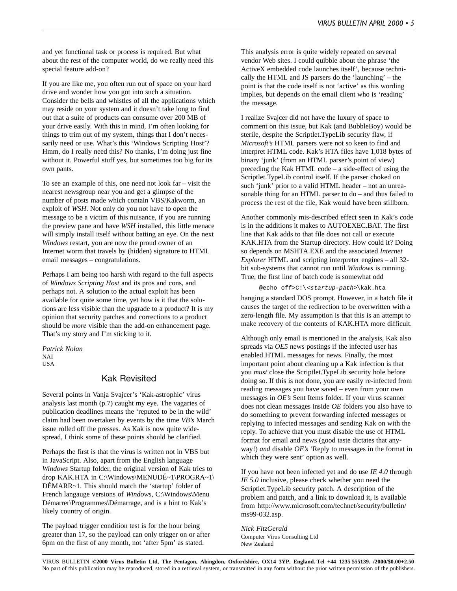and yet functional task or process is required. But what about the rest of the computer world, do we really need this special feature add-on?

If you are like me, you often run out of space on your hard drive and wonder how you got into such a situation. Consider the bells and whistles of all the applications which may reside on your system and it doesn't take long to find out that a suite of products can consume over 200 MB of your drive easily. With this in mind, I'm often looking for things to trim out of my system, things that I don't necessarily need or use. What's this 'Windows Scripting Host'? Hmm, do I really need this? No thanks, I'm doing just fine without it. Powerful stuff yes, but sometimes too big for its own pants.

To see an example of this, one need not look far – visit the nearest newsgroup near you and get a glimpse of the number of posts made which contain VBS/Kakworm, an exploit of *WSH*. Not only do you not have to open the message to be a victim of this nuisance, if you are running the preview pane and have *WSH* installed, this little menace will simply install itself without batting an eye. On the next *Windows* restart, you are now the proud owner of an Internet worm that travels by (hidden) signature to HTML email messages – congratulations.

Perhaps I am being too harsh with regard to the full aspects of *Windows Scripting Host* and its pros and cons, and perhaps not. A solution to the actual exploit has been available for quite some time, yet how is it that the solutions are less visible than the upgrade to a product? It is my opinion that security patches and corrections to a product should be *more* visible than the add-on enhancement page. That's my story and I'm sticking to it.

*Patrick Nolan* NAI USA

### Kak Revisited

Several points in Vanja Svajcer's 'Kak-astrophic' virus analysis last month (p.7) caught my eye. The vagaries of publication deadlines means the 'reputed to be in the wild' claim had been overtaken by events by the time *VB's* March issue rolled off the presses. As Kak is now quite widespread, I think some of these points should be clarified.

Perhaps the first is that the virus is written not in VBS but in JavaScript. Also, apart from the English language *Windows* Startup folder, the original version of Kak tries to drop KAK.HTA in C:\Windows\MENUDÉ~1\PROGRA~1\ DÉMARR~1. This should match the 'startup' folder of French langauge versions of *Windows*, C:\Windows\Menu Démarrer\Programmes\Démarrage, and is a hint to Kak's likely country of origin.

The payload trigger condition test is for the hour being greater than 17, so the payload can only trigger on or after 6pm on the first of any month, not 'after 5pm' as stated.

This analysis error is quite widely repeated on several vendor Web sites. I could quibble about the phrase 'the ActiveX embedded code launches itself', because technically the HTML and JS parsers do the 'launching' – the point is that the code itself is not 'active' as this wording implies, but depends on the email client who is 'reading' the message.

I realize Svajcer did not have the luxury of space to comment on this issue, but Kak (and BubbleBoy) would be sterile, despite the Scriptlet.TypeLib security flaw, if *Microsoft's* HTML parsers were not so keen to find and interpret HTML code. Kak's HTA files have 1,018 bytes of binary 'junk' (from an HTML parser's point of view) preceding the Kak HTML code – a side-effect of using the Scriptlet.TypeLib control itself. If the parser choked on such 'junk' prior to a valid HTML header – not an unreasonable thing for an HTML parser to do – and thus failed to process the rest of the file, Kak would have been stillborn.

Another commonly mis-described effect seen in Kak's code is in the additions it makes to AUTOEXEC.BAT. The first line that Kak adds to that file does not call or execute KAK.HTA from the Startup directory. How could it? Doing so depends on MSHTA.EXE and the associated *Internet Explorer* HTML and scripting interpreter engines – all 32 bit sub-systems that cannot run until *Windows* is running. True, the first line of batch code is somewhat odd

@echo off>C:\<startup-path>\kak.hta

hanging a standard DOS prompt. However, in a batch file it causes the target of the redirection to be overwritten with a zero-length file. My assumption is that this is an attempt to make recovery of the contents of KAK.HTA more difficult.

Although only email is mentioned in the analysis, Kak also spreads via *OE5* news postings if the infected user has enabled HTML messages for news. Finally, the most important point about cleaning up a Kak infection is that you *must* close the Scriptlet.TypeLib security hole before doing so. If this is not done, you are easily re-infected from reading messages you have saved – even from your own messages in *OE's* Sent Items folder. If your virus scanner does not clean messages inside *OE* folders you also have to do something to prevent forwarding infected messages or replying to infected messages and sending Kak on with the reply. To achieve that you must disable the use of HTML format for email and news (good taste dictates that anyway!) *and* disable *OE's* 'Reply to messages in the format in which they were sent' option as well.

If you have not been infected yet and do use *IE 4.0* through *IE 5.0* inclusive, please check whether you need the Scriptlet.TypeLib security patch. A description of the problem and patch, and a link to download it, is available from http://www.microsoft.com/technet/security/bulletin/ ms99-032.asp.

*Nick FitzGerald* Computer Virus Consulting Ltd New Zealand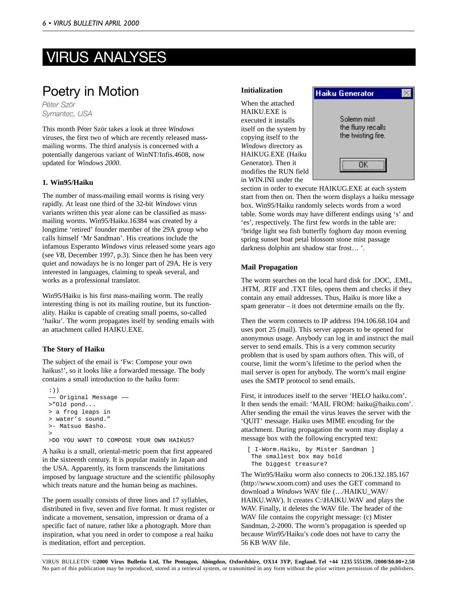# <span id="page-5-0"></span>VIRUS ANALYSES

## Poetry in Motion

*Péter Ször Symantec, USA*

This month Péter Ször takes a look at three *Windows* viruses, the first two of which are recently released massmailing worms. The third analysis is concerned with a potentially dangerous variant of WinNT/Infis.4608, now updated for *Windows 2000*.

#### **1. Win95/Haiku**

The number of mass-mailing email worms is rising very rapidly. At least one third of the 32-bit *Windows* virus variants written this year alone can be classified as massmailing worms. Win95/Haiku.16384 was created by a longtime 'retired' founder member of the 29A group who calls himself 'Mr Sandman'. His creations include the infamous Esperanto *Windows* virus released some years ago (see *VB*, December 1997, p.3). Since then he has been very quiet and nowadays he is no longer part of 29A. He is very interested in languages, claiming to speak several, and works as a professional translator.

Win95/Haiku is his first mass-mailing worm. The really interesting thing is not its mailing routine, but its functionality. Haiku is capable of creating small poems, so-called 'haiku'. The worm propagates itself by sending emails with an attachment called HAIKU.EXE.

### **The Story of Haiku**

The subject of the email is 'Fw: Compose your own haikus!', so it looks like a forwarded message. The body contains a small introduction to the haiku form:

```
:))
 —— Original Message ——
>"Old pond...
> a frog leaps in
> water's sound."
>- Matsuo Basho.
>
>DO YOU WANT TO COMPOSE YOUR OWN HAIKUS?
```
A haiku is a small, oriental-metric poem that first appeared in the sixteenth century. It is popular mainly in Japan and the USA. Apparently, its form transcends the limitations imposed by language structure and the scientific philosophy which treats nature and the human being as machines.

The poem usually consists of three lines and 17 syllables, distributed in five, seven and five format. It must register or indicate a movement, sensation, impression or drama of a specific fact of nature, rather like a photograph. More than inspiration, what you need in order to compose a real haiku is meditation, effort and perception.

#### **Initialization**

When the attached HAIKU.EXE is executed it installs itself on the system by copying itself to the *Windows* directory as HAIKUG.EXE (Haiku Generator). Then it modifies the RUN field in WIN.INI under the



section in order to execute HAIKUG.EXE at each system start from then on. Then the worm displays a haiku message box. Win95/Haiku randomly selects words from a word table. Some words may have different endings using 's' and 'es', respectively. The first few words in the table are: 'bridge light sea fish butterfly foghorn day moon evening spring sunset boat petal blossom stone mist passage darkness dolphin ant shadow star frost… '.

#### **Mail Propagation**

The worm searches on the local hard disk for .DOC, .EML, .HTM, .RTF and .TXT files, opens them and checks if they contain any email addresses. Thus, Haiku is more like a spam generator – it does not determine emails on the fly.

Then the worm connects to IP address 194.106.68.104 and uses port 25 (mail). This server appears to be opened for anonymous usage. Anybody can log in and instruct the mail server to send emails. This is a very common security problem that is used by spam authors often. This will, of course, limit the worm's lifetime to the period when the mail server is open for anybody. The worm's mail engine uses the SMTP protocol to send emails.

First, it introduces itself to the server 'HELO haiku.com'. It then sends the email: 'MAIL FROM: haiku@haiku.com'. After sending the email the virus leaves the server with the 'QUIT' message. Haiku uses MIME encoding for the attachment. During propagation the worm may display a message box with the following encrypted text:

[ I-Worm.Haiku, by Mister Sandman ] The smallest box may hold The biggest treasure?

The Win95/Haiku worm also connects to 206.132.185.167 (http://www.xoom.com) and uses the GET command to download a *Windows* WAV file (…/HAIKU\_WAV/ HAIKU.WAV). It creates C:\HAIKU.WAV and plays the WAV. Finally, it deletes the WAV file. The header of the WAV file contains the copyright message: (c) Mister Sandman, 2-2000. The worm's propagation is speeded up because Win95/Haiku's code does not have to carry the 56 KB WAV file.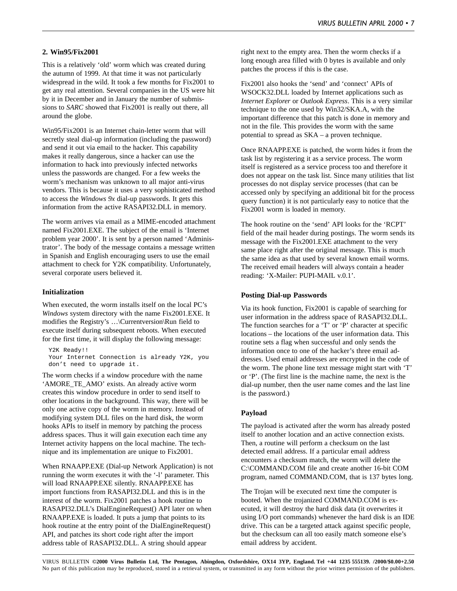#### **2. Win95/Fix2001**

This is a relatively 'old' worm which was created during the autumn of 1999. At that time it was not particularly widespread in the wild. It took a few months for Fix2001 to get any real attention. Several companies in the US were hit by it in December and in January the number of submissions to *SARC* showed that Fix2001 is really out there, all around the globe.

Win95/Fix2001 is an Internet chain-letter worm that will secretly steal dial-up information (including the password) and send it out via email to the hacker. This capability makes it really dangerous, since a hacker can use the information to hack into previously infected networks unless the passwords are changed. For a few weeks the worm's mechanism was unknown to all major anti-virus vendors. This is because it uses a very sophisticated method to access the *Windows 9x* dial-up passwords. It gets this information from the active RASAPI32.DLL in memory.

The worm arrives via email as a MIME-encoded attachment named Fix2001.EXE. The subject of the email is 'Internet problem year 2000'. It is sent by a person named 'Administrator'. The body of the message contains a message written in Spanish and English encouraging users to use the email attachment to check for Y2K compatibility. Unfortunately, several corporate users believed it.

#### **Initialization**

When executed, the worm installs itself on the local PC's *Windows* system directory with the name Fix2001.EXE. It modifies the Registry's …\Currentversion\Run field to execute itself during subsequent reboots. When executed for the first time, it will display the following message:

Y2K Ready!! Your Internet Connection is already Y2K, you don't need to upgrade it.

The worm checks if a window procedure with the name 'AMORE\_TE\_AMO' exists. An already active worm creates this window procedure in order to send itself to other locations in the background. This way, there will be only one active copy of the worm in memory. Instead of modifying system DLL files on the hard disk, the worm hooks APIs to itself in memory by patching the process address spaces. Thus it will gain execution each time any Internet activity happens on the local machine. The technique and its implementation are unique to Fix2001.

When RNAAPP.EXE (Dial-up Network Application) is not running the worm executes it with the '-l' parameter. This will load RNAAPP.EXE silently. RNAAPP.EXE has import functions from RASAPI32.DLL and this is in the interest of the worm. Fix2001 patches a hook routine to RASAPI32.DLL's DialEngineRequest() API later on when RNAAPP.EXE is loaded. It puts a jump that points to its hook routine at the entry point of the DialEngineRequest() API, and patches its short code right after the import address table of RASAPI32.DLL. A string should appear

right next to the empty area. Then the worm checks if a long enough area filled with 0 bytes is available and only patches the process if this is the case.

Fix2001 also hooks the 'send' and 'connect' APIs of WSOCK32.DLL loaded by Internet applications such as *Internet Explorer* or *Outlook Express*. This is a very similar technique to the one used by Win32/SKA.A, with the important difference that this patch is done in memory and not in the file. This provides the worm with the same potential to spread as SKA – a proven technique.

Once RNAAPP.EXE is patched, the worm hides it from the task list by registering it as a service process. The worm itself is registered as a service process too and therefore it does not appear on the task list. Since many utilities that list processes do not display service processes (that can be accessed only by specifying an additional bit for the process query function) it is not particularly easy to notice that the Fix2001 worm is loaded in memory.

The hook routine on the 'send' API looks for the 'RCPT' field of the mail header during postings. The worm sends its message with the Fix2001.EXE attachment to the very same place right after the original message. This is much the same idea as that used by several known email worms. The received email headers will always contain a header reading: 'X-Mailer: PUPI-MAIL v.0.1'.

### **Posting Dial-up Passwords**

Via its hook function, Fix2001 is capable of searching for user information in the address space of RASAPI32.DLL. The function searches for a 'T' or 'P' character at specific locations – the locations of the user information data. This routine sets a flag when successful and only sends the information once to one of the hacker's three email addresses. Used email addresses are encrypted in the code of the worm. The phone line text message might start with 'T' or 'P'. (The first line is the machine name, the next is the dial-up number, then the user name comes and the last line is the password.)

### **Payload**

The payload is activated after the worm has already posted itself to another location and an active connection exists. Then, a routine will perform a checksum on the last detected email address. If a particular email address encounters a checksum match, the worm will delete the C:\COMMAND.COM file and create another 16-bit COM program, named COMMAND.COM, that is 137 bytes long.

The Trojan will be executed next time the computer is booted. When the trojanized COMMAND.COM is executed, it will destroy the hard disk data (it overwrites it using I/O port commands) whenever the hard disk is an IDE drive. This can be a targeted attack against specific people, but the checksum can all too easily match someone else's email address by accident.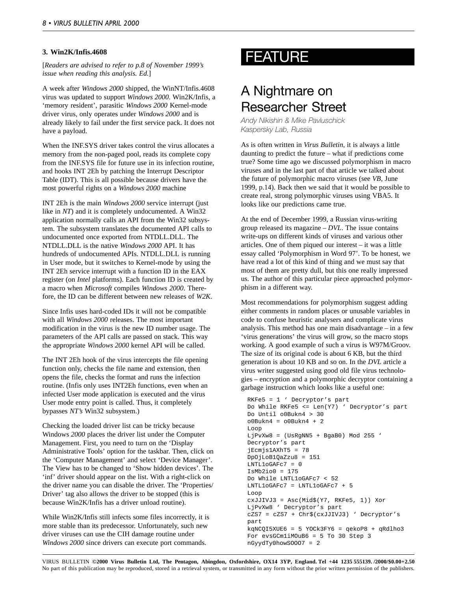#### <span id="page-7-0"></span>**3. Win2K/Infis.4608**

[*Readers are advised to refer to p.8 of November 1999's issue when reading this analysis. Ed.*]

A week after *Windows 2000* shipped, the WinNT/Infis.4608 virus was updated to support *Windows 2000*. Win2K/Infis, a 'memory resident', parasitic *Windows 2000* Kernel-mode driver virus, only operates under *Windows 2000* and is already likely to fail under the first service pack. It does not have a payload.

When the INF.SYS driver takes control the virus allocates a memory from the non-paged pool, reads its complete copy from the INF.SYS file for future use in its infection routine, and hooks INT 2Eh by patching the Interrupt Descriptor Table (IDT). This is all possible because drivers have the most powerful rights on a *Windows 2000* machine

INT 2Eh is the main *Windows 2000* service interrupt (just like in *NT*) and it is completely undocumented. A Win32 application normally calls an API from the Win32 subsystem. The subsystem translates the documented API calls to undocumented once exported from NTDLL.DLL. The NTDLL.DLL is the native *Windows 2000* API. It has hundreds of undocumented APIs. NTDLL.DLL is running in User mode, but it switches to Kernel-mode by using the INT 2Eh service interrupt with a function ID in the EAX register (on *Intel* platforms). Each function ID is created by a macro when *Microsoft* compiles *Windows 2000*. Therefore, the ID can be different between new releases of *W2K*.

Since Infis uses hard-coded IDs it will not be compatible with all *Windows 2000* releases. The most important modification in the virus is the new ID number usage. The parameters of the API calls are passed on stack. This way the appropriate *Windows 2000* kernel API will be called.

The INT 2Eh hook of the virus intercepts the file opening function only, checks the file name and extension, then opens the file, checks the format and runs the infection routine. (Infis only uses INT2Eh functions, even when an infected User mode application is executed and the virus User mode entry point is called. Thus, it completely bypasses *NT's* Win32 subsystem.)

Checking the loaded driver list can be tricky because Windows *2000* places the driver list under the Computer Management. First, you need to turn on the 'Display Administrative Tools' option for the taskbar. Then, click on the 'Computer Management' and select 'Device Manager'. The View has to be changed to 'Show hidden devices'. The 'inf' driver should appear on the list. With a right-click on the driver name you can disable the driver. The 'Properties/ Driver' tag also allows the driver to be stopped (this is because Win2K/Infis has a driver unload routine).

While Win2K/Infis still infects some files incorrectly, it is more stable than its predecessor. Unfortunately, such new driver viruses can use the CIH damage routine under *Windows 2000* since drivers can execute port commands.

## FEATURE

## A Nightmare on Researcher Street

*Andy Nikishin & Mike Pavluschick Kaspersky Lab, Russia*

As is often written in *Virus Bulletin*, it is always a little daunting to predict the future – what if predictions come true? Some time ago we discussed polymorphism in macro viruses and in the last part of that article we talked about the future of polymorphic macro viruses (see *VB*, June 1999, p.14). Back then we said that it would be possible to create real, strong polymorphic viruses using VBA5. It looks like our predictions came true.

At the end of December 1999, a Russian virus-writing group released its magazine – *DVL*. The issue contains write-ups on different kinds of viruses and various other articles. One of them piqued our interest – it was a little essay called 'Polymorphism in Word 97'. To be honest, we have read a lot of this kind of thing and we must say that most of them are pretty dull, but this one really impressed us. The author of this particular piece approached polymorphism in a different way.

Most recommendations for polymorphism suggest adding either comments in random places or unusable variables in code to confuse heuristic analysers and complicate virus analysis. This method has one main disadvantage – in a few 'virus generations' the virus will grow, so the macro stops working. A good example of such a virus is W97M/Groov. The size of its original code is about 6 KB, but the third generation is about 10 KB and so on. In the *DVL* article a virus writer suggested using good old file virus technologies – encryption and a polymorphic decryptor containing a garbage instruction which looks like a useful one:

```
RKFe5 = 1 ' Decryptor's part
Do While RKFe5 <= Len(Y7) ' Decryptor's part
Do Until o0Bukn4 > 30
o0Bukn4 = o0Bukn4 + 2Loop
LjPvXw8 = (USRgNN5 + BgaB0) Mod 255 '
Decryptor's part
jEcmjs1AXhT5 = 78
DpOjLoB1QaZzu8 = 151
LNTL1oGAFc7 = 0
TsMb2io0 = 175Do While LNTL1oGAFc7 < 52
LNTL1oGAFc7 = LNTL1oGAFc7 + 5
Loop
cxJJIVJ3 = Asc(Mid$(Y7, RKFe5, 1)) Xor
LjPvXw8 ' Decryptor's part
cZS7 = cZS7 + Chr$(cxJJIVJ3) ' Decryptor's
part
kqNCQI5XUE6 = 5 YOCk3FY6 = qekoP8 + qRdlho3
For evsGCm1iMOuB6 = 5 To 30 Step 3
nGyydTy0howSOOO7 = 2
```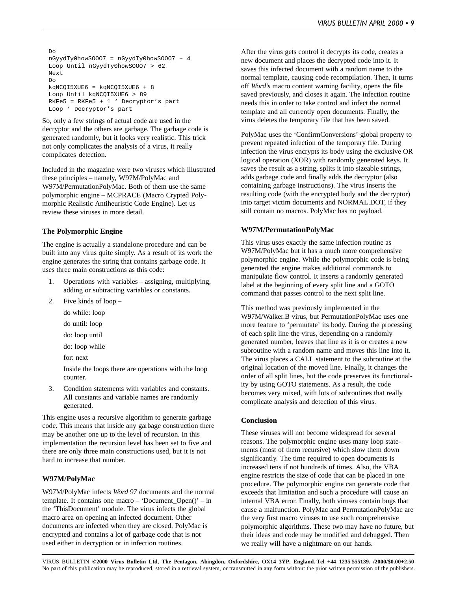```
Do
nGyydTy0howSOOO7 = nGyydTy0howSOOO7 + 4
Loop Until nGyydTy0howSOOO7 > 62
Next
Do
kqNCQI5XUE6 = kqNCQI5XUE6 + 8
Loop Until kqNCQI5XUE6 > 89
RKFe5 = RKFe5 + 1 ' Decryptor's part
Loop ' Decryptor's part
```
So, only a few strings of actual code are used in the decryptor and the others are garbage. The garbage code is generated randomly, but it looks very realistic. This trick not only complicates the analysis of a virus, it really complicates detection.

Included in the magazine were two viruses which illustrated these principles – namely, W97M/PolyMac and W97M/PermutationPolyMac. Both of them use the same polymorphic engine – MCPRACE (Macro Crypted Polymorphic Realistic Antiheuristic Code Engine). Let us review these viruses in more detail.

#### **The Polymorphic Engine**

The engine is actually a standalone procedure and can be built into any virus quite simply. As a result of its work the engine generates the string that contains garbage code. It uses three main constructions as this code:

- 1. Operations with variables assigning, multiplying, adding or subtracting variables or constants.
- 2. Five kinds of loop
	- do while: loop
	- do until: loop
	- do: loop until
	- do: loop while
	- for: next

Inside the loops there are operations with the loop counter.

3. Condition statements with variables and constants. All constants and variable names are randomly generated.

This engine uses a recursive algorithm to generate garbage code. This means that inside any garbage construction there may be another one up to the level of recursion. In this implementation the recursion level has been set to five and there are only three main constructions used, but it is not hard to increase that number.

#### **W97M/PolyMac**

W97M/PolyMac infects *Word 97* documents and the normal template. It contains one macro – 'Document\_Open()' – in the 'ThisDocument' module. The virus infects the global macro area on opening an infected document. Other documents are infected when they are closed. PolyMac is encrypted and contains a lot of garbage code that is not used either in decryption or in infection routines.

After the virus gets control it decrypts its code, creates a new document and places the decrypted code into it. It saves this infected document with a random name to the normal template, causing code recompilation. Then, it turns off *Word's* macro content warning facility, opens the file saved previously, and closes it again. The infection routine needs this in order to take control and infect the normal template and all currently open documents. Finally, the virus deletes the temporary file that has been saved.

PolyMac uses the 'ConfirmConversions' global property to prevent repeated infection of the temporary file. During infection the virus encrypts its body using the exclusive OR logical operation (XOR) with randomly generated keys. It saves the result as a string, splits it into sizeable strings, adds garbage code and finally adds the decryptor (also containing garbage instructions). The virus inserts the resulting code (with the encrypted body and the decryptor) into target victim documents and NORMAL.DOT, if they still contain no macros. PolyMac has no payload.

#### **W97M/PermutationPolyMac**

This virus uses exactly the same infection routine as W97M/PolyMac but it has a much more comprehensive polymorphic engine. While the polymorphic code is being generated the engine makes additional commands to manipulate flow control. It inserts a randomly generated label at the beginning of every split line and a GOTO command that passes control to the next split line.

This method was previously implemented in the W97M/Walker.B virus, but PermutationPolyMac uses one more feature to 'permutate' its body. During the processing of each split line the virus, depending on a randomly generated number, leaves that line as it is or creates a new subroutine with a random name and moves this line into it. The virus places a CALL statement to the subroutine at the original location of the moved line. Finally, it changes the order of all split lines, but the code preserves its functionality by using GOTO statements. As a result, the code becomes very mixed, with lots of subroutines that really complicate analysis and detection of this virus.

#### **Conclusion**

These viruses will not become widespread for several reasons. The polymorphic engine uses many loop statements (most of them recursive) which slow them down significantly. The time required to open documents is increased tens if not hundreds of times. Also, the VBA engine restricts the size of code that can be placed in one procedure. The polymorphic engine can generate code that exceeds that limitation and such a procedure will cause an internal VBA error. Finally, both viruses contain bugs that cause a malfunction. PolyMac and PermutationPolyMac are the very first macro viruses to use such comprehensive polymorphic algorithms. These two may have no future, but their ideas and code may be modified and debugged. Then we really will have a nightmare on our hands.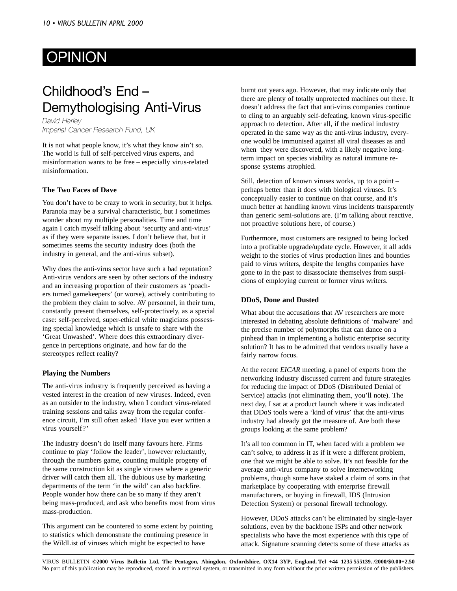# <span id="page-9-0"></span>OPINION

# Childhood's End – Demythologising Anti-Virus

*David Harley Imperial Cancer Research Fund, UK*

It is not what people know, it's what they know ain't so. The world is full of self-perceived virus experts, and misinformation wants to be free – especially virus-related misinformation.

#### **The Two Faces of Dave**

You don't have to be crazy to work in security, but it helps. Paranoia may be a survival characteristic, but I sometimes wonder about my multiple personalities. Time and time again I catch myself talking about 'security and anti-virus' as if they were separate issues. I don't believe that, but it sometimes seems the security industry does (both the industry in general, and the anti-virus subset).

Why does the anti-virus sector have such a bad reputation? Anti-virus vendors are seen by other sectors of the industry and an increasing proportion of their customers as 'poachers turned gamekeepers' (or worse), actively contributing to the problem they claim to solve. AV personnel, in their turn, constantly present themselves, self-protectively, as a special case: self-perceived, super-ethical white magicians possessing special knowledge which is unsafe to share with the 'Great Unwashed'. Where does this extraordinary divergence in perceptions originate, and how far do the stereotypes reflect reality?

#### **Playing the Numbers**

The anti-virus industry is frequently perceived as having a vested interest in the creation of new viruses. Indeed, even as an outsider to the industry, when I conduct virus-related training sessions and talks away from the regular conference circuit, I'm still often asked 'Have you ever written a virus yourself?'

The industry doesn't do itself many favours here. Firms continue to play 'follow the leader', however reluctantly, through the numbers game, counting multiple progeny of the same construction kit as single viruses where a generic driver will catch them all. The dubious use by marketing departments of the term 'in the wild' can also backfire. People wonder how there can be so many if they aren't being mass-produced, and ask who benefits most from virus mass-production.

This argument can be countered to some extent by pointing to statistics which demonstrate the continuing presence in the WildList of viruses which might be expected to have

burnt out years ago. However, that may indicate only that there are plenty of totally unprotected machines out there. It doesn't address the fact that anti-virus companies continue to cling to an arguably self-defeating, known virus-specific approach to detection. After all, if the medical industry operated in the same way as the anti-virus industry, everyone would be immunised against all viral diseases as and when they were discovered, with a likely negative longterm impact on species viability as natural immune response systems atrophied.

Still, detection of known viruses works, up to a point – perhaps better than it does with biological viruses. It's conceptually easier to continue on that course, and it's much better at handling known virus incidents transparently than generic semi-solutions are. (I'm talking about reactive, not proactive solutions here, of course.)

Furthermore, most customers are resigned to being locked into a profitable upgrade/update cycle. However, it all adds weight to the stories of virus production lines and bounties paid to virus writers, despite the lengths companies have gone to in the past to disassociate themselves from suspicions of employing current or former virus writers.

#### **DDoS, Done and Dusted**

What about the accusations that AV researchers are more interested in debating absolute definitions of 'malware' and the precise number of polymorphs that can dance on a pinhead than in implementing a holistic enterprise security solution? It has to be admitted that vendors usually have a fairly narrow focus.

At the recent *EICAR* meeting, a panel of experts from the networking industry discussed current and future strategies for reducing the impact of DDoS (Distributed Denial of Service) attacks (not eliminating them, you'll note). The next day, I sat at a product launch where it was indicated that DDoS tools were a 'kind of virus' that the anti-virus industry had already got the measure of. Are both these groups looking at the same problem?

It's all too common in IT, when faced with a problem we can't solve, to address it as if it were a different problem, one that we might be able to solve. It's not feasible for the average anti-virus company to solve internetworking problems, though some have staked a claim of sorts in that marketplace by cooperating with enterprise firewall manufacturers, or buying in firewall, IDS (Intrusion Detection System) or personal firewall technology.

However, DDoS attacks can't be eliminated by single-layer solutions, even by the backbone ISPs and other network specialists who have the most experience with this type of attack. Signature scanning detects some of these attacks as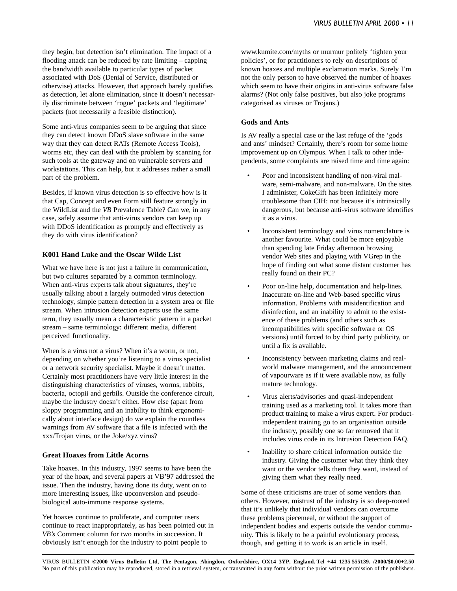they begin, but detection isn't elimination. The impact of a flooding attack can be reduced by rate limiting – capping the bandwidth available to particular types of packet associated with DoS (Denial of Service, distributed or otherwise) attacks. However, that approach barely qualifies as detection, let alone elimination, since it doesn't necessarily discriminate between 'rogue' packets and 'legitimate' packets (not necessarily a feasible distinction).

Some anti-virus companies seem to be arguing that since they can detect known DDoS slave software in the same way that they can detect RATs (Remote Access Tools), worms etc, they can deal with the problem by scanning for such tools at the gateway and on vulnerable servers and workstations. This can help, but it addresses rather a small part of the problem.

Besides, if known virus detection is so effective how is it that Cap, Concept and even Form still feature strongly in the WildList and the *VB* Prevalence Table? Can we, in any case, safely assume that anti-virus vendors can keep up with DDoS identification as promptly and effectively as they do with virus identification?

#### **K001 Hand Luke and the Oscar Wilde List**

What we have here is not just a failure in communication, but two cultures separated by a common terminology. When anti-virus experts talk about signatures, they're usually talking about a largely outmoded virus detection technology, simple pattern detection in a system area or file stream. When intrusion detection experts use the same term, they usually mean a characteristic pattern in a packet stream – same terminology: different media, different perceived functionality.

When is a virus not a virus? When it's a worm, or not, depending on whether you're listening to a virus specialist or a network security specialist. Maybe it doesn't matter. Certainly most practitioners have very little interest in the distinguishing characteristics of viruses, worms, rabbits, bacteria, octopii and gerbils. Outside the conference circuit, maybe the industry doesn't either. How else (apart from sloppy programming and an inability to think ergonomically about interface design) do we explain the countless warnings from AV software that a file is infected with the xxx/Trojan virus, or the Joke/xyz virus?

#### **Great Hoaxes from Little Acorns**

Take hoaxes. In this industry, 1997 seems to have been the year of the hoax, and several papers at VB'97 addressed the issue. Then the industry, having done its duty, went on to more interesting issues, like upconversion and pseudobiological auto-immune response systems.

Yet hoaxes continue to proliferate, and computer users continue to react inappropriately, as has been pointed out in *VB's* Comment column for two months in succession. It obviously isn't enough for the industry to point people to

www.kumite.com/myths or murmur politely 'tighten your policies', or for practitioners to rely on descriptions of known hoaxes and multiple exclamation marks. Surely I'm not the only person to have observed the number of hoaxes which seem to have their origins in anti-virus software false alarms? (Not only false positives, but also joke programs categorised as viruses or Trojans.)

#### **Gods and Ants**

Is AV really a special case or the last refuge of the 'gods and ants' mindset? Certainly, there's room for some home improvement up on Olympus. When I talk to other independents, some complaints are raised time and time again:

- Poor and inconsistent handling of non-viral malware, semi-malware, and non-malware. On the sites I administer, CokeGift has been infinitely more troublesome than CIH: not because it's intrinsically dangerous, but because anti-virus software identifies it as a virus.
- Inconsistent terminology and virus nomenclature is another favourite. What could be more enjoyable than spending late Friday afternoon browsing vendor Web sites and playing with VGrep in the hope of finding out what some distant customer has really found on their PC?
- Poor on-line help, documentation and help-lines. Inaccurate on-line and Web-based specific virus information. Problems with misidentification and disinfection, and an inability to admit to the existence of these problems (and others such as incompatibilities with specific software or OS versions) until forced to by third party publicity, or until a fix is available.
- Inconsistency between marketing claims and realworld malware management, and the announcement of vapourware as if it were available now, as fully mature technology.
- Virus alerts/advisories and quasi-independent training used as a marketing tool. It takes more than product training to make a virus expert. For productindependent training go to an organisation outside the industry, possibly one so far removed that it includes virus code in its Intrusion Detection FAQ.
- Inability to share critical information outside the industry. Giving the customer what they think they want or the vendor tells them they want, instead of giving them what they really need.

Some of these criticisms are truer of some vendors than others. However, mistrust of the industry is so deep-rooted that it's unlikely that individual vendors can overcome these problems piecemeal, or without the support of independent bodies and experts outside the vendor community. This is likely to be a painful evolutionary process, though, and getting it to work is an article in itself.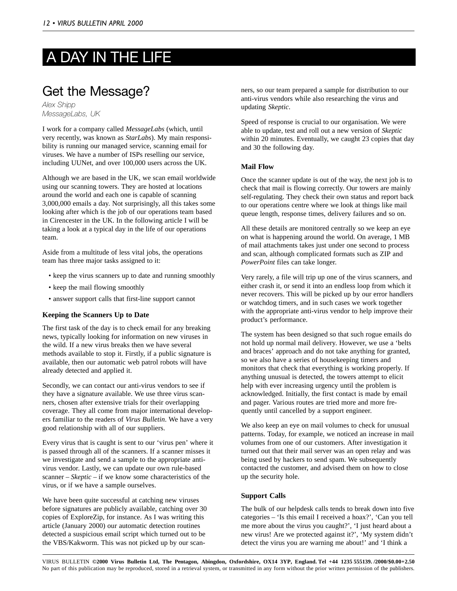# <span id="page-11-0"></span>A DAY IN THE LIFE

## Get the Message?

*Alex Shipp MessageLabs, UK*

I work for a company called *MessageLabs* (which, until very recently, was known as *StarLabs*). My main responsibility is running our managed service, scanning email for viruses. We have a number of ISPs reselling our service, including UUNet, and over 100,000 users across the UK.

Although we are based in the UK, we scan email worldwide using our scanning towers. They are hosted at locations around the world and each one is capable of scanning 3,000,000 emails a day. Not surprisingly, all this takes some looking after which is the job of our operations team based in Cirencester in the UK. In the following article I will be taking a look at a typical day in the life of our operations team.

Aside from a multitude of less vital jobs, the operations team has three major tasks assigned to it:

- keep the virus scanners up to date and running smoothly
- keep the mail flowing smoothly
- answer support calls that first-line support cannot

#### **Keeping the Scanners Up to Date**

The first task of the day is to check email for any breaking news, typically looking for information on new viruses in the wild. If a new virus breaks then we have several methods available to stop it. Firstly, if a public signature is available, then our automatic web patrol robots will have already detected and applied it.

Secondly, we can contact our anti-virus vendors to see if they have a signature available. We use three virus scanners, chosen after extensive trials for their overlapping coverage. They all come from major international developers familiar to the readers of *Virus Bulletin*. We have a very good relationship with all of our suppliers.

Every virus that is caught is sent to our 'virus pen' where it is passed through all of the scanners. If a scanner misses it we investigate and send a sample to the appropriate antivirus vendor. Lastly, we can update our own rule-based scanner – *Skeptic* – if we know some characteristics of the virus, or if we have a sample ourselves.

We have been quite successful at catching new viruses before signatures are publicly available, catching over 30 copies of ExploreZip, for instance. As I was writing this article (January 2000) our automatic detection routines detected a suspicious email script which turned out to be the VBS/Kakworm. This was not picked up by our scanners, so our team prepared a sample for distribution to our anti-virus vendors while also researching the virus and updating *Skeptic*.

Speed of response is crucial to our organisation. We were able to update, test and roll out a new version of *Skeptic* within 20 minutes. Eventually, we caught 23 copies that day and 30 the following day.

#### **Mail Flow**

Once the scanner update is out of the way, the next job is to check that mail is flowing correctly. Our towers are mainly self-regulating. They check their own status and report back to our operations centre where we look at things like mail queue length, response times, delivery failures and so on.

All these details are monitored centrally so we keep an eye on what is happening around the world. On average, 1 MB of mail attachments takes just under one second to process and scan, although complicated formats such as ZIP and *PowerPoint* files can take longer.

Very rarely, a file will trip up one of the virus scanners, and either crash it, or send it into an endless loop from which it never recovers. This will be picked up by our error handlers or watchdog timers, and in such cases we work together with the appropriate anti-virus vendor to help improve their product's performance.

The system has been designed so that such rogue emails do not hold up normal mail delivery. However, we use a 'belts and braces' approach and do not take anything for granted, so we also have a series of housekeeping timers and monitors that check that everything is working properly. If anything unusual is detected, the towers attempt to elicit help with ever increasing urgency until the problem is acknowledged. Initially, the first contact is made by email and pager. Various routes are tried more and more frequently until cancelled by a support engineer.

We also keep an eye on mail volumes to check for unusual patterns. Today, for example, we noticed an increase in mail volumes from one of our customers. After investigation it turned out that their mail server was an open relay and was being used by hackers to send spam. We subsequently contacted the customer, and advised them on how to close up the security hole.

#### **Support Calls**

The bulk of our helpdesk calls tends to break down into five categories – 'Is this email I received a hoax?', 'Can you tell me more about the virus you caught?', 'I just heard about a new virus! Are we protected against it?', 'My system didn't detect the virus you are warning me about!' and 'I think a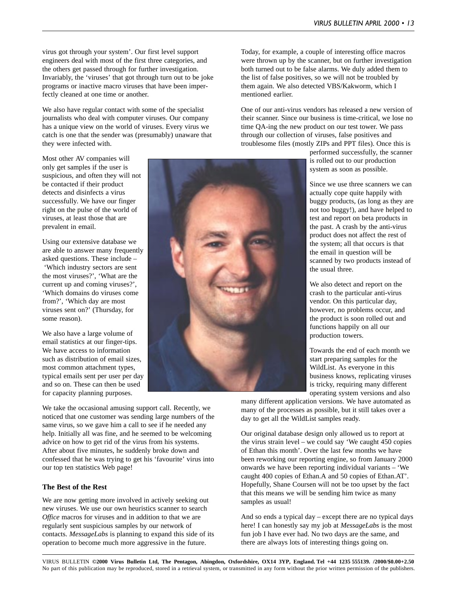virus got through your system'. Our first level support engineers deal with most of the first three categories, and the others get passed through for further investigation. Invariably, the 'viruses' that got through turn out to be joke programs or inactive macro viruses that have been imperfectly cleaned at one time or another.

We also have regular contact with some of the specialist journalists who deal with computer viruses. Our company has a unique view on the world of viruses. Every virus we catch is one that the sender was (presumably) unaware that they were infected with.

Most other AV companies will only get samples if the user is suspicious, and often they will not be contacted if their product detects and disinfects a virus successfully. We have our finger right on the pulse of the world of viruses, at least those that are prevalent in email.

Using our extensive database we are able to answer many frequently asked questions. These include – 'Which industry sectors are sent the most viruses?', 'What are the current up and coming viruses?', 'Which domains do viruses come from?', 'Which day are most viruses sent on?' (Thursday, for some reason).

We also have a large volume of email statistics at our finger-tips. We have access to information such as distribution of email sizes, most common attachment types, typical emails sent per user per day and so on. These can then be used for capacity planning purposes.

We take the occasional amusing support call. Recently, we noticed that one customer was sending large numbers of the same virus, so we gave him a call to see if he needed any help. Initially all was fine, and he seemed to be welcoming advice on how to get rid of the virus from his systems. After about five minutes, he suddenly broke down and confessed that he was trying to get his 'favourite' virus into our top ten statistics Web page!

#### **The Best of the Rest**

We are now getting more involved in actively seeking out new viruses. We use our own heuristics scanner to search *Office* macros for viruses and in addition to that we are regularly sent suspicious samples by our network of contacts. *MessageLabs* is planning to expand this side of its operation to become much more aggressive in the future.



Today, for example, a couple of interesting office macros were thrown up by the scanner, but on further investigation both turned out to be false alarms. We duly added them to the list of false positives, so we will not be troubled by them again. We also detected VBS/Kakworm, which I mentioned earlier.

One of our anti-virus vendors has released a new version of their scanner. Since our business is time-critical, we lose no time QA-ing the new product on our test tower. We pass through our collection of viruses, false positives and troublesome files (mostly ZIPs and PPT files). Once this is

> performed successfully, the scanner is rolled out to our production system as soon as possible.

> Since we use three scanners we can actually cope quite happily with buggy products, (as long as they are not too buggy!), and have helped to test and report on beta products in the past. A crash by the anti-virus product does not affect the rest of the system; all that occurs is that the email in question will be scanned by two products instead of the usual three.

We also detect and report on the crash to the particular anti-virus vendor. On this particular day, however, no problems occur, and the product is soon rolled out and functions happily on all our production towers.

Towards the end of each month we start preparing samples for the WildList. As everyone in this business knows, replicating viruses is tricky, requiring many different operating system versions and also

many different application versions. We have automated as many of the processes as possible, but it still takes over a day to get all the WildList samples ready.

Our original database design only allowed us to report at the virus strain level – we could say 'We caught 450 copies of Ethan this month'. Over the last few months we have been reworking our reporting engine, so from January 2000 onwards we have been reporting individual variants – 'We caught 400 copies of Ethan.A and 50 copies of Ethan.AT'. Hopefully, Shane Coursen will not be too upset by the fact that this means we will be sending him twice as many samples as usual!

And so ends a typical day – except there are no typical days here! I can honestly say my job at *MessageLabs* is the most fun job I have ever had. No two days are the same, and there are always lots of interesting things going on.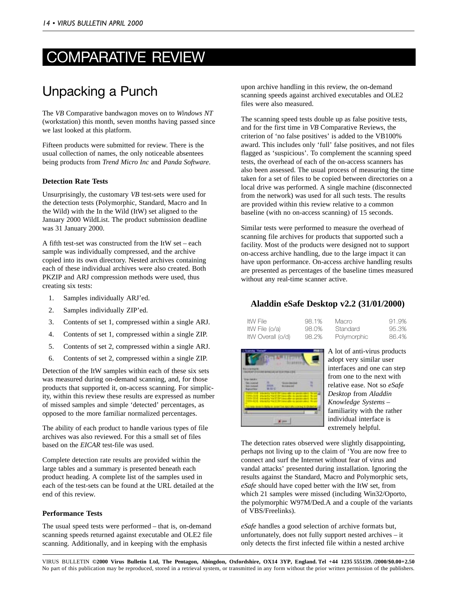# <span id="page-13-0"></span>COMPARATIVE REVIEW

## Unpacking a Punch

The *VB* Comparative bandwagon moves on to *Windows NT* (workstation) this month, seven months having passed since we last looked at this platform.

Fifteen products were submitted for review. There is the usual collection of names, the only noticeable absentees being products from *Trend Micro Inc* and *Panda Software*.

#### **Detection Rate Tests**

Unsurprisingly, the customary *VB* test-sets were used for the detection tests (Polymorphic, Standard, Macro and In the Wild) with the In the Wild (ItW) set aligned to the January 2000 WildList. The product submission deadline was 31 January 2000.

A fifth test-set was constructed from the ItW set – each sample was individually compressed, and the archive copied into its own directory. Nested archives containing each of these individual archives were also created. Both PKZIP and ARJ compression methods were used, thus creating six tests:

- 1. Samples individually ARJ'ed.
- 2. Samples individually ZIP'ed.
- 3. Contents of set 1, compressed within a single ARJ.
- 4. Contents of set 1, compressed within a single ZIP.
- 5. Contents of set 2, compressed within a single ARJ.
- 6. Contents of set 2, compressed within a single ZIP.

Detection of the ItW samples within each of these six sets was measured during on-demand scanning, and, for those products that supported it, on-access scanning. For simplicity, within this review these results are expressed as number of missed samples and simple 'detected' percentages, as opposed to the more familiar normalized percentages.

The ability of each product to handle various types of file archives was also reviewed. For this a small set of files based on the *EICAR* test-file was used.

Complete detection rate results are provided within the large tables and a summary is presented beneath each product heading. A complete list of the samples used in each of the test-sets can be found at the URL detailed at the end of this review.

#### **Performance Tests**

The usual speed tests were performed – that is, on-demand scanning speeds returned against executable and OLE2 file scanning. Additionally, and in keeping with the emphasis

upon archive handling in this review, the on-demand scanning speeds against archived executables and OLE2 files were also measured.

The scanning speed tests double up as false positive tests, and for the first time in *VB* Comparative Reviews, the criterion of 'no false positives' is added to the VB100% award. This includes only 'full' false positives, and not files flagged as 'suspicious'. To complement the scanning speed tests, the overhead of each of the on-access scanners has also been assessed. The usual process of measuring the time taken for a set of files to be copied between directories on a local drive was performed. A single machine (disconnected from the network) was used for all such tests. The results are provided within this review relative to a common baseline (with no on-access scanning) of 15 seconds.

Similar tests were performed to measure the overhead of scanning file archives for products that supported such a facility. Most of the products were designed not to support on-access archive handling, due to the large impact it can have upon performance. On-access archive handling results are presented as percentages of the baseline times measured without any real-time scanner active.

## **Aladdin eSafe Desktop v2.2 (31/01/2000)**

| ItW File          | 98.1% | Macro       | 91.9% |
|-------------------|-------|-------------|-------|
| ItW File (o/a)    | 98.0% | Standard    | 95.3% |
| ItW Overall (o/d) | 98.2% | Polymorphic | 86.4% |



A lot of anti-virus products adopt very similar user interfaces and one can step from one to the next with relative ease. Not so *eSafe Desktop* from *Aladdin Knowledge Systems* – familiarity with the rather individual interface is extremely helpful.

The detection rates observed were slightly disappointing, perhaps not living up to the claim of 'You are now free to connect and surf the Internet without fear of virus and vandal attacks' presented during installation. Ignoring the results against the Standard, Macro and Polymorphic sets, *eSafe* should have coped better with the ItW set, from which 21 samples were missed (including Win32/Oporto, the polymorphic W97M/Ded.A and a couple of the variants of VBS/Freelinks).

*eSafe* handles a good selection of archive formats but, unfortunately, does not fully support nested archives – it only detects the first infected file within a nested archive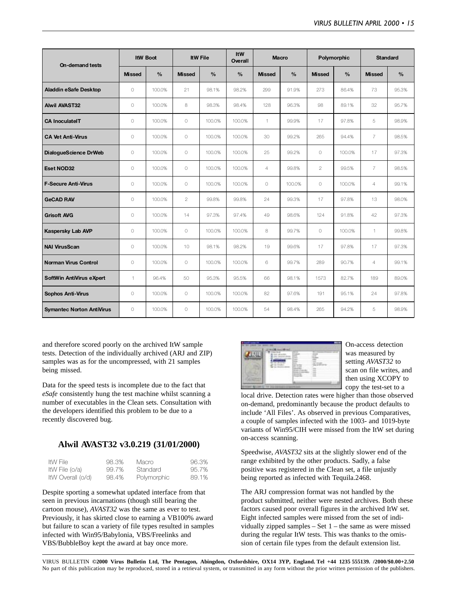| On-demand tests                  |               | <b>ItW Boot</b> |               | <b>ItW File</b> | ItW<br>Overall |                | <b>Macro</b>  |                | Polymorphic   |                | <b>Standard</b> |
|----------------------------------|---------------|-----------------|---------------|-----------------|----------------|----------------|---------------|----------------|---------------|----------------|-----------------|
|                                  | <b>Missed</b> | $\frac{9}{6}$   | <b>Missed</b> | $\frac{0}{0}$   | $\frac{0}{0}$  | <b>Missed</b>  | $\frac{0}{0}$ | <b>Missed</b>  | $\frac{9}{6}$ | <b>Missed</b>  | $\frac{9}{6}$   |
| <b>Aladdin eSafe Desktop</b>     | $\circ$       | 100.0%          | 21            | 98.1%           | 98.2%          | 299            | 91.9%         | 273            | 86.4%         | 73             | 95.3%           |
| <b>Alwil AVAST32</b>             | 0             | 100.0%          | 8             | 98.3%           | 98.4%          | 128            | 96.3%         | 98             | 89.1%         | 32             | 95.7%           |
| <b>CA InoculatelT</b>            | 0             | 100.0%          | $\circ$       | 100.0%          | 100.0%         | $\mathbf{1}$   | 99.9%         | 17             | 97.8%         | 5              | 98.9%           |
| <b>CA Vet Anti-Virus</b>         | $\circ$       | 100.0%          | $\bigcirc$    | 100.0%          | 100.0%         | 30             | 99.2%         | 265            | 94.4%         | $\overline{7}$ | 98.5%           |
| DialogueScience DrWeb            | $\circ$       | 100.0%          | $\circ$       | 100.0%          | 100.0%         | 25             | 99.2%         | $\circ$        | 100.0%        | 17             | 97.3%           |
| Eset NOD32                       | $\circ$       | 100.0%          | $\bigcirc$    | 100.0%          | 100.0%         | $\overline{4}$ | 99.8%         | $\overline{2}$ | 99.5%         | $\overline{7}$ | 98.5%           |
| <b>F-Secure Anti-Virus</b>       | $\circ$       | 100.0%          | $\circ$       | 100.0%          | 100.0%         | $\circ$        | 100.0%        | $\circ$        | 100.0%        | 4              | 99.1%           |
| <b>GeCAD RAV</b>                 | $\circ$       | 100.0%          | $\mathbf{2}$  | 99.8%           | 99.8%          | 24             | 99.3%         | 17             | 97.8%         | 13             | 98.0%           |
| <b>Grisoft AVG</b>               | 0             | 100.0%          | 14            | 97.3%           | 97.4%          | 49             | 98.6%         | 124            | 91.8%         | 42             | 97.3%           |
| Kaspersky Lab AVP                | $\circ$       | 100.0%          | $\circ$       | 100.0%          | 100.0%         | 8              | 99.7%         | $\bigcirc$     | 100.0%        | $\mathbf{1}$   | 99.8%           |
| <b>NAI VirusScan</b>             | $\circ$       | 100.0%          | 10            | 98.1%           | 98.2%          | 19             | 99.6%         | 17             | 97.8%         | 17             | 97.3%           |
| <b>Norman Virus Control</b>      | 0             | 100.0%          | $\circ$       | 100.0%          | 100.0%         | 6              | 99.7%         | 289            | 90.7%         | 4              | 99.1%           |
| SoftWin AntiVirus eXpert         | 1             | 96.4%           | 50            | 95.3%           | 95.5%          | 66             | 98.1%         | 1573           | 82.7%         | 189            | 89.0%           |
| <b>Sophos Anti-Virus</b>         | 0             | 100.0%          | $\bigcirc$    | 100.0%          | 100.0%         | 82             | 97.6%         | 191            | 95.1%         | 24             | 97.8%           |
| <b>Symantec Norton AntiVirus</b> | $\circ$       | 100.0%          | $\bigcirc$    | 100.0%          | 100.0%         | 54             | 98.4%         | 265            | 94.2%         | 5              | 98.9%           |

and therefore scored poorly on the archived ItW sample tests. Detection of the individually archived (ARJ and ZIP) samples was as for the uncompressed, with 21 samples being missed.

Data for the speed tests is incomplete due to the fact that *eSafe* consistently hung the test machine whilst scanning a number of executables in the Clean sets. Consultation with the developers identified this problem to be due to a recently discovered bug.

## **Alwil AVAST32 v3.0.219 (31/01/2000)**

| ItW File          | 98.3% | Macro       | 96.3% |
|-------------------|-------|-------------|-------|
| ItW File (o/a)    | 99.7% | Standard    | 95.7% |
| ItW Overall (o/d) | 98.4% | Polymorphic | 89.1% |

Despite sporting a somewhat updated interface from that seen in previous incarnations (though still bearing the cartoon mouse), *AVAST32* was the same as ever to test. Previously, it has skirted close to earning a VB100% award but failure to scan a variety of file types resulted in samples infected with Win95/Babylonia, VBS/Freelinks and VBS/BubbleBoy kept the award at bay once more.



On-access detection was measured by setting *AVAST32* to scan on file writes, and then using XCOPY to copy the test-set to a

local drive. Detection rates were higher than those observed on-demand, predominantly because the product defaults to include 'All Files'. As observed in previous Comparatives, a couple of samples infected with the 1003- and 1019-byte variants of Win95/CIH were missed from the ItW set during on-access scanning.

Speedwise, *AVAST32* sits at the slightly slower end of the range exhibited by the other products. Sadly, a false positive was registered in the Clean set, a file unjustly being reported as infected with Tequila.2468.

The ARJ compression format was not handled by the product submitted, neither were nested archives. Both these factors caused poor overall figures in the archived ItW set. Eight infected samples were missed from the set of individually zipped samples – Set 1 – the same as were missed during the regular ItW tests. This was thanks to the omission of certain file types from the default extension list.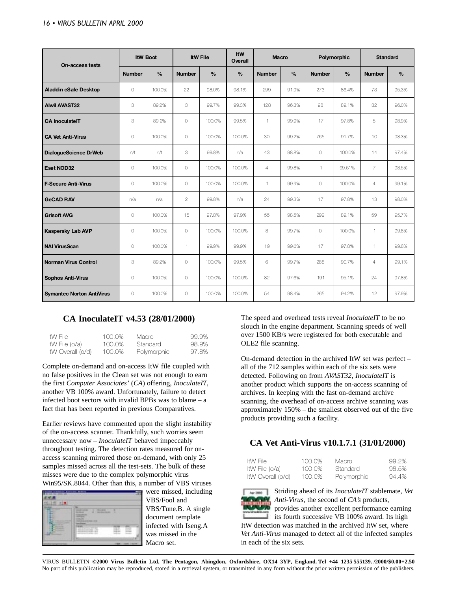| On-access tests                  |               | <b>ItW Boot</b> |                | <b>ItW File</b> | ItW<br>Overall | <b>Macro</b>   |               |               | Polymorphic   |                | <b>Standard</b> |
|----------------------------------|---------------|-----------------|----------------|-----------------|----------------|----------------|---------------|---------------|---------------|----------------|-----------------|
|                                  | <b>Number</b> | $\frac{0}{0}$   | <b>Number</b>  | $\frac{0}{0}$   | $\frac{0}{0}$  | <b>Number</b>  | $\frac{0}{0}$ | <b>Number</b> | $\frac{0}{0}$ | <b>Number</b>  | $\frac{0}{0}$   |
| <b>Aladdin eSafe Desktop</b>     | $\circ$       | 100.0%          | 22             | 98.0%           | 98.1%          | 299            | 91.9%         | 273           | 86.4%         | 73             | 95.3%           |
| <b>Alwil AVAST32</b>             | 3             | 89.2%           | 3              | 99.7%           | 99.3%          | 128            | 96.3%         | 98            | 89.1%         | 32             | 96.0%           |
| <b>CA InoculateIT</b>            | 3             | 89.2%           | $\bigcirc$     | 100.0%          | 99.5%          | $\mathbf{1}$   | 99.9%         | 17            | 97.8%         | 5              | 98.9%           |
| <b>CA Vet Anti-Virus</b>         | $\circ$       | 100.0%          | $\bigcirc$     | 100.0%          | 100.0%         | 30             | 99.2%         | 765           | 91.7%         | 10             | 98.3%           |
| DialogueScience DrWeb            | n/t           | n/t             | 3              | 99.8%           | n/a            | 43             | 98.8%         | $\circ$       | 100.0%        | 14             | 97.4%           |
| Eset NOD32                       | $\circ$       | 100.0%          | $\bigcirc$     | 100.0%          | 100.0%         | $\overline{4}$ | 99.8%         | 1             | 99.61%        | $\overline{7}$ | 98.5%           |
| <b>F-Secure Anti-Virus</b>       | $\circ$       | 100.0%          | $\circ$        | 100.0%          | 100.0%         | $\mathbf{1}$   | 99.9%         | $\circ$       | 100.0%        | $\overline{4}$ | 99.1%           |
| <b>GeCAD RAV</b>                 | n/a           | n/a             | $\overline{2}$ | 99.8%           | n/a            | 24             | 99.3%         | 17            | 97.8%         | 13             | 98.0%           |
| <b>Grisoft AVG</b>               | $\circ$       | 100.0%          | 15             | 97.8%           | 97.9%          | 55             | 98.5%         | 292           | 89.1%         | 59             | 95.7%           |
| <b>Kaspersky Lab AVP</b>         | $\circ$       | 100.0%          | $\bigcirc$     | 100.0%          | 100.0%         | 8              | 99.7%         | $\circ$       | 100.0%        | $\mathbf{1}$   | 99.8%           |
| <b>NAI VirusScan</b>             | $\circ$       | 100.0%          | 1              | 99.9%           | 99.9%          | 19             | 99.6%         | 17            | 97.8%         | $\mathbf{1}$   | 99.8%           |
| <b>Norman Virus Control</b>      | 3             | 89.2%           | $\bigcirc$     | 100.0%          | 99.5%          | 6              | 99.7%         | 288           | 90.7%         | $\overline{4}$ | 99.1%           |
| <b>Sophos Anti-Virus</b>         | $\circ$       | 100.0%          | $\circ$        | 100.0%          | 100.0%         | 82             | 97.6%         | 191           | 95.1%         | 24             | 97.8%           |
| <b>Symantec Norton AntiVirus</b> | $\circ$       | 100.0%          | $\circ$        | 100.0%          | 100.0%         | 54             | 98.4%         | 265           | 94.2%         | 12             | 97.9%           |

## **CA InoculateIT v4.53 (28/01/2000)**

| ItW File          | 100.0% | Macro       | 99.9% |
|-------------------|--------|-------------|-------|
| ItW File (o/a)    | 100.0% | Standard    | 98.9% |
| ItW Overall (o/d) | 100.0% | Polymorphic | 97.8% |

Complete on-demand and on-access ItW file coupled with no false positives in the Clean set was not enough to earn the first *Computer Associates'* (*CA*) offering, *InoculateIT*, another VB 100% award. Unfortunately, failure to detect infected boot sectors with invalid BPBs was to blame – a fact that has been reported in previous Comparatives.

Earlier reviews have commented upon the slight instability of the on-access scanner. Thankfully, such worries seem unnecessary now – *InoculateIT* behaved impeccably throughout testing. The detection rates measured for onaccess scanning mirrored those on-demand, with only 25 samples missed across all the test-sets. The bulk of these misses were due to the complex polymorphic virus Win95/SK.8044. Other than this, a number of VBS viruses



were missed, including VBS/Fool and VBS/Tune.B. A single document template infected with Iseng.A was missed in the Macro set.

The speed and overhead tests reveal *InoculateIT* to be no slouch in the engine department. Scanning speeds of well over 1500 KB/s were registered for both executable and OLE2 file scanning.

On-demand detection in the archived ItW set was perfect – all of the 712 samples within each of the six sets were detected. Following on from *AVAST32*, *InoculateIT* is another product which supports the on-access scanning of archives. In keeping with the fast on-demand archive scanning, the overhead of on-access archive scanning was approximately 150% – the smallest observed out of the five products providing such a facility.

## **CA Vet Anti-Virus v10.1.7.1 (31/01/2000)**

| <b>ItW</b> File |                   |
|-----------------|-------------------|
|                 | ItW File (o/a)    |
|                 | ItW Overall (o/d) |

100.0% Macro 99.2% 100.0% Standard 98.5% 100.0% Polymorphic 94.4%





Striding ahead of its *InoculateIT* stablemate, *Vet Anti-Virus*, the second of *CA's* products,

provides another excellent performance earning its fourth successive VB 100% award. Its high ItW detection was matched in the archived ItW set, where *Vet Anti-Virus* managed to detect all of the infected samples in each of the six sets.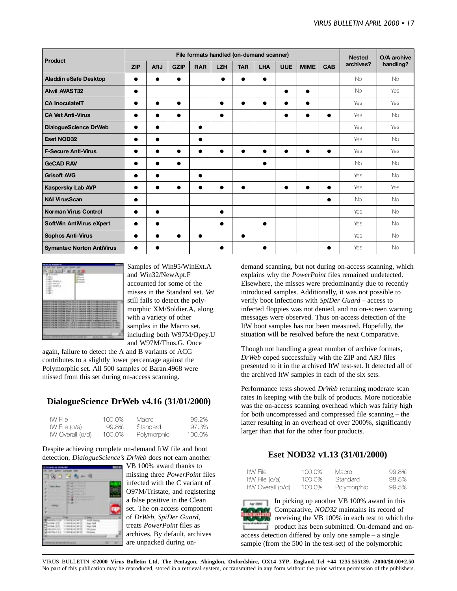|                                  |            |            |             |            | File formats handled (on-demand scanner) |            |            |            |             |            | <b>Nested</b> | O/A archive |
|----------------------------------|------------|------------|-------------|------------|------------------------------------------|------------|------------|------------|-------------|------------|---------------|-------------|
| Product                          | <b>ZIP</b> | <b>ARJ</b> | <b>GZIP</b> | <b>RAR</b> | <b>LZH</b>                               | <b>TAR</b> | <b>LHA</b> | <b>UUE</b> | <b>MIME</b> | <b>CAB</b> | archives?     | handling?   |
| Aladdin eSafe Desktop            |            |            | $\bullet$   |            |                                          |            |            |            |             |            | <b>No</b>     | No          |
| <b>Alwil AVAST32</b>             |            |            |             |            |                                          |            |            |            | $\bullet$   |            | <b>No</b>     | Yes         |
| <b>CA InoculateIT</b>            |            | ●          | $\bullet$   |            | $\bullet$                                | $\bullet$  |            |            | $\bullet$   |            | Yes           | Yes         |
| <b>CA Vet Anti-Virus</b>         |            |            | $\bullet$   |            |                                          |            |            |            |             | $\bullet$  | Yes           | <b>No</b>   |
| DialogueScience DrWeb            |            | $\bullet$  |             |            |                                          |            |            |            |             |            | Yes           | Yes         |
| <b>Eset NOD32</b>                |            | ●          |             | 0          |                                          |            |            |            |             |            | Yes           | <b>No</b>   |
| <b>F-Secure Anti-Virus</b>       | ٠          |            |             |            |                                          |            |            |            |             |            | Yes           | Yes         |
| <b>GeCAD RAV</b>                 |            |            |             |            |                                          |            | $\bullet$  |            |             |            | <b>No</b>     | <b>No</b>   |
| <b>Grisoft AVG</b>               |            | $\bullet$  |             |            |                                          |            |            |            |             |            | Yes           | No.         |
| <b>Kaspersky Lab AVP</b>         | $\bullet$  | ●          |             |            |                                          | $\bullet$  |            | $\bullet$  | ●           |            | Yes           | Yes         |
| <b>NAI VirusScan</b>             |            |            |             |            |                                          |            |            |            |             | $\bullet$  | <b>No</b>     | <b>No</b>   |
| Norman Virus Control             | $\bullet$  | $\bullet$  |             |            | $\bullet$                                |            |            |            |             |            | Yes           | No          |
| SoftWin AntiVirus eXpert         |            |            |             |            |                                          |            |            |            |             |            | Yes           | <b>No</b>   |
| <b>Sophos Anti-Virus</b>         |            |            |             |            |                                          |            |            |            |             |            | Yes           | No.         |
| <b>Symantec Norton AntiVirus</b> |            |            |             |            |                                          |            |            |            |             | ●          | Yes           | No          |



Samples of Win95/WinExt.A and Win32/NewApt.F accounted for some of the misses in the Standard set. *Vet* still fails to detect the polymorphic XM/Soldier.A, along with a variety of other samples in the Macro set, including both W97M/Opey.U and W97M/Thus.G. Once

again, failure to detect the A and B variants of ACG contributes to a slightly lower percentage against the Polymorphic set. All 500 samples of Baran.4968 were missed from this set during on-access scanning.

### **DialogueScience DrWeb v4.16 (31/01/2000)**

| ItW File          | 100.0% | Macro       | 99.2%  |
|-------------------|--------|-------------|--------|
| ItW File (o/a)    | 99.8%  | Standard    | 97.3%  |
| ItW Overall (o/d) | 100.0% | Polymorphic | 100.0% |

Despite achieving complete on-demand ItW file and boot detection, *DialogueScience's DrWeb* does not earn another



VB 100% award thanks to missing three *PowerPoint* files infected with the C variant of O97M/Tristate, and registering a false positive in the Clean set. The on-access component of *DrWeb, SpiDer Guard*, treats *PowerPoint* files as archives. By default, archives are unpacked during ondemand scanning, but not during on-access scanning, which explains why the *PowerPoint* files remained undetected. Elsewhere, the misses were predominantly due to recently introduced samples. Additionally, it was not possible to verify boot infections with *SpiDer Guard* – access to infected floppies was not denied, and no on-screen warning messages were observed. Thus on-access detection of the ItW boot samples has not been measured. Hopefully, the situation will be resolved before the next Comparative.

Though not handling a great number of archive formats, *DrWeb* coped successfully with the ZIP and ARJ files presented to it in the archived ItW test-set. It detected all of the archived ItW samples in each of the six sets.

Performance tests showed *DrWeb* returning moderate scan rates in keeping with the bulk of products. More noticeable was the on-access scanning overhead which was fairly high for both uncompressed and compressed file scanning – the latter resulting in an overhead of over 2000%, significantly larger than that for the other four products.

## **Eset NOD32 v1.13 (31/01/2000)**

| ItW File          | 100.0% | Macro       | 99.8% |
|-------------------|--------|-------------|-------|
| ItW File (o/a)    | 100.0% | Standard    | 98.5% |
| ItW Overall (o/d) | 100.0% | Polymorphic | 99.5% |

In picking up another VB 100% award in this Comparative, *NOD32* maintains its record of receiving the VB 100% in each test to which the product has been submitted. On-demand and onaccess detection differed by only one sample – a single sample (from the 500 in the test-set) of the polymorphic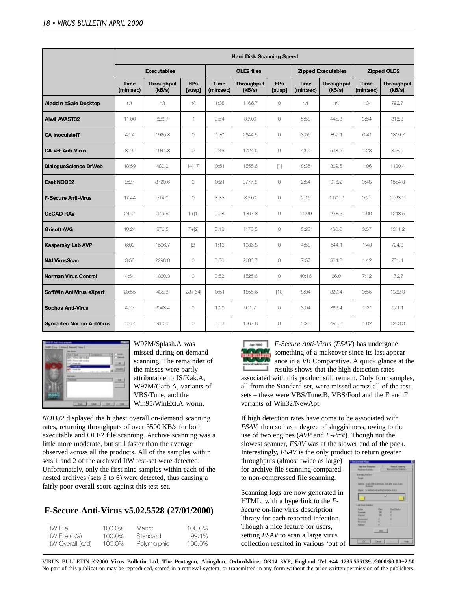|                                  |                          |                             |                            |                          | <b>Hard Disk Scanning Speed</b> |                            |                          |                             |                          |                             |
|----------------------------------|--------------------------|-----------------------------|----------------------------|--------------------------|---------------------------------|----------------------------|--------------------------|-----------------------------|--------------------------|-----------------------------|
|                                  |                          | <b>Executables</b>          |                            |                          | OLE2 files                      |                            |                          | <b>Zipped Executables</b>   | Zipped OLE2              |                             |
|                                  | <b>Time</b><br>(min:sec) | <b>Throughput</b><br>(kB/s) | <b>FPs</b><br><b>Susp1</b> | <b>Time</b><br>(min:sec) | <b>Throughput</b><br>(kB/s)     | <b>FPs</b><br><b>Susp1</b> | <b>Time</b><br>(min:sec) | <b>Throughput</b><br>(kB/s) | <b>Time</b><br>(min:sec) | <b>Throughput</b><br>(kB/s) |
| Aladdin eSafe Desktop            | n/t                      | n/t                         | n/t                        | 1:08                     | 1166.7                          | $\bigcirc$                 | n/t                      | n/t                         | 1:34                     | 793.7                       |
| <b>Alwil AVAST32</b>             | 11:00                    | 828.7                       | 1                          | 3:54                     | 339.0                           | $\circ$                    | 5:58                     | 445.3                       | 3:54                     | 318.8                       |
| <b>CA InoculateIT</b>            | 4:24                     | 1925.8                      | $\circ$                    | 0:30                     | 2644.5                          | $\bigcirc$                 | 3:06                     | 857.1                       | 0:41                     | 1819.7                      |
| <b>CA Vet Anti-Virus</b>         | 8:45                     | 1041.8                      | $\circ$                    | 0:46                     | 1724.6                          | $\circ$                    | 4:56                     | 538.6                       | 1:23                     | 898.9                       |
| DialogueScience DrWeb            | 18:59                    | 480.2                       | $1+[17]$                   | 0:51                     | 1555.6                          | [1]                        | 8:35                     | 309.5                       | 1:06                     | 1130.4                      |
| Eset NOD32                       | 2:27                     | 3720.6                      | $\circ$                    | 0:21                     | 3777.8                          | $\bigcirc$                 | 2:54                     | 916.2                       | 0:48                     | 1554.3                      |
| F-Secure Anti-Virus              | 17:44                    | 514.0                       | $\circ$                    | 3:35                     | 369.0                           | $\circ$                    | 2:16                     | 1172.2                      | 0:27                     | 2763.2                      |
| <b>GeCAD RAV</b>                 | 24:01                    | 379.6                       | $1 + [1]$                  | 0:58                     | 1367.8                          | $\circ$                    | 11:09                    | 238.3                       | 1:00                     | 1243.5                      |
| <b>Grisoft AVG</b>               | 10:24                    | 876.5                       | $7+[2]$                    | 0:18                     | 4175.5                          | $\circ$                    | 5:28                     | 486.0                       | 0:57                     | 1311.2                      |
| <b>Kaspersky Lab AVP</b>         | 6:03                     | 1506.7                      | $[2]$                      | 1:13                     | 1086.8                          | $\bigcirc$                 | 4:53                     | 544.1                       | 1:43                     | 724.3                       |
| <b>NAI VirusScan</b>             | 3:58                     | 2298.0                      | $\circ$                    | 0:36                     | 2203.7                          | $\bigcirc$                 | 7:57                     | 334.2                       | 1:42                     | 731.4                       |
| Norman Virus Control             | 4:54                     | 1860.3                      | $\circ$                    | 0:52                     | 1525.6                          | $\bigcirc$                 | 40:16                    | 66.0                        | 7:12                     | 172.7                       |
| SoftWin AntiVirus eXpert         | 20:55                    | 435.8                       | $28+[64]$                  | 0:51                     | 1555.6                          | $[18]$                     | 8:04                     | 329.4                       | 0:56                     | 1332.3                      |
| <b>Sophos Anti-Virus</b>         | 4:27                     | 2048.4                      | $\circlearrowright$        | 1:20                     | 991.7                           | $\circ$                    | 3:04                     | 866.4                       | 1:21                     | 921.1                       |
| <b>Symantec Norton AntiVirus</b> | 10:01                    | 910.0                       | $\circ$                    | 0:58                     | 1367.8                          | $\circ$                    | 5:20                     | 498.2                       | 1:02                     | 1203.3                      |



W97M/Splash.A was missed during on-demand scanning. The remainder of the misses were partly attributable to JS/Kak.A, W97M/Garb.A, variants of VBS/Tune, and the Win95/WinExt.A worm.

*NOD32* displayed the highest overall on-demand scanning rates, returning throughputs of over 3500 KB/s for both executable and OLE2 file scanning. Archive scanning was a little more moderate, but still faster than the average observed across all the products. All of the samples within sets 1 and 2 of the archived ItW test-set were detected. Unfortunately, only the first nine samples within each of the nested archives (sets 3 to 6) were detected, thus causing a fairly poor overall score against this test-set.

## **F-Secure Anti-Virus v5.02.5528 (27/01/2000)**

| ItW File          | 100.0% | Macro.      | 100.0% |
|-------------------|--------|-------------|--------|
| ItW File (o/a)    | 100.0% | Standard    | 99.1%  |
| ItW Overall (o/d) | 100.0% | Polymorphic | 100.0% |



*F-Secure Anti-Virus* (*FSAV*) has undergone something of a makeover since its last appearance in a *VB* Comparative. A quick glance at the results shows that the high detection rates associated with this product still remain. Only four samples, all from the Standard set, were missed across all of the testsets – these were VBS/Tune.B, VBS/Fool and the E and F variants of Win32/NewApt.

If high detection rates have come to be associated with *FSAV*, then so has a degree of sluggishness, owing to the use of two engines (*AVP* and *F-Prot*). Though not the slowest scanner, *FSAV* was at the slower end of the pack. Interestingly, *FSAV* is the only product to return greater

throughputs (almost twice as large) for archive file scanning compared to non-compressed file scanning.

Scanning logs are now generated in HTML, with a hyperlink to the *F-Secure* on-line virus description library for each reported infection. Though a nice feature for users, setting *FSAV* to scan a large virus collection resulted in various 'out of

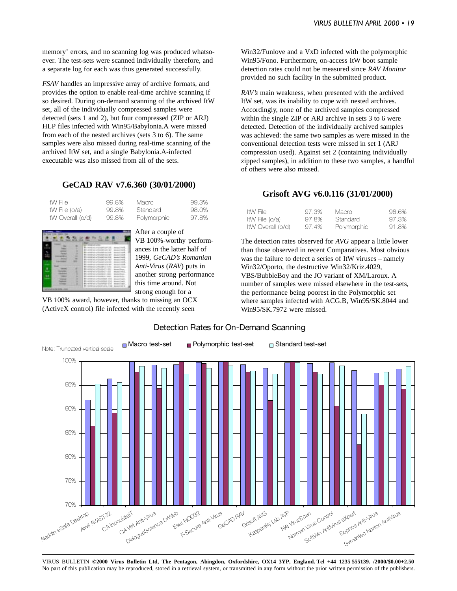memory' errors, and no scanning log was produced whatsoever. The test-sets were scanned individually therefore, and a separate log for each was thus generated successfully.

*FSAV* handles an impressive array of archive formats, and provides the option to enable real-time archive scanning if so desired. During on-demand scanning of the archived ItW set, all of the individually compressed samples were detected (sets 1 and 2), but four compressed (ZIP or ARJ) HLP files infected with Win95/Babylonia.A were missed from each of the nested archives (sets 3 to 6). The same samples were also missed during real-time scanning of the archived ItW set, and a single Babylonia.A-infected executable was also missed from all of the sets.

### **GeCAD RAV v7.6.360 (30/01/2000)**

| ItW File          | 99.8% | Macro       | 99.3% |
|-------------------|-------|-------------|-------|
| ItW File (o/a)    | 99.8% | Standard    | 98.0% |
| ItW Overall (o/d) | 99.8% | Polymorphic | 97.8% |



After a couple of VB 100%-worthy performances in the latter half of 1999, *GeCAD's Romanian Anti-Virus* (*RAV*) puts in another strong performance this time around. Not strong enough for a

VB 100% award, however, thanks to missing an OCX (ActiveX control) file infected with the recently seen

Win32/Funlove and a VxD infected with the polymorphic Win95/Fono. Furthermore, on-access ItW boot sample detection rates could not be measured since *RAV Monitor* provided no such facility in the submitted product.

*RAV's* main weakness, when presented with the archived ItW set, was its inability to cope with nested archives. Accordingly, none of the archived samples compressed within the single ZIP or ARJ archive in sets 3 to 6 were detected. Detection of the individually archived samples was achieved: the same two samples as were missed in the conventional detection tests were missed in set 1 (ARJ compression used). Against set 2 (containing individually zipped samples), in addition to these two samples, a handful of others were also missed.

#### **Grisoft AVG v6.0.116 (31/01/2000)**

| ItW File          | 97.3% | Macro       | 98.6% |
|-------------------|-------|-------------|-------|
| ItW File (o/a)    | 97.8% | Standard    | 97.3% |
| ItW Overall (o/d) | 97.4% | Polymorphic | 91.8% |

The detection rates observed for *AVG* appear a little lower than those observed in recent Comparatives. Most obvious was the failure to detect a series of ItW viruses – namely Win32/Oporto, the destructive Win32/Kriz.4029, VBS/BubbleBoy and the JO variant of XM/Laroux. A number of samples were missed elsewhere in the test-sets, the performance being poorest in the Polymorphic set where samples infected with ACG.B, Win95/SK.8044 and Win95/SK.7972 were missed.



#### Detection Rates for On-Demand Scanning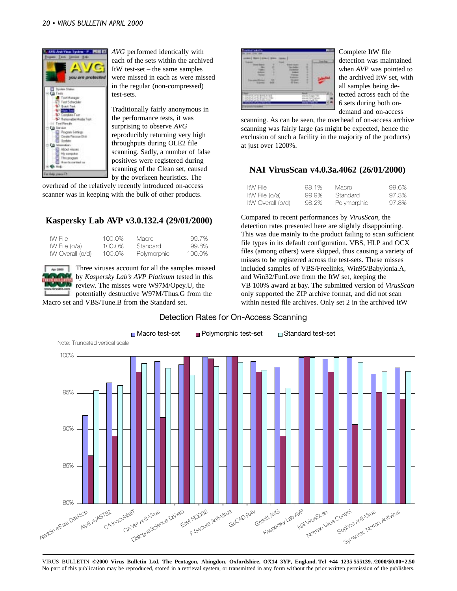

*AVG* performed identically with each of the sets within the archived ItW test-set – the same samples were missed in each as were missed in the regular (non-compressed) test-sets.

Traditionally fairly anonymous in the performance tests, it was surprising to observe *AVG* reproducibly returning very high throughputs during OLE2 file scanning. Sadly, a number of false positives were registered during scanning of the Clean set, caused by the overkeen heuristics. The

overhead of the relatively recently introduced on-access scanner was in keeping with the bulk of other products.

## **Kaspersky Lab AVP v3.0.132.4 (29/01/2000)**

| ItW File          | 100.0% | Macro       | 99.7%  |
|-------------------|--------|-------------|--------|
| ItW File (o/a)    | 100.0% | Standard    | 99.8%  |
| ItW Overall (o/d) | 100.0% | Polymorphic | 100.0% |

Three viruses account for all the samples missed by *Kaspersky Lab's AVP Platinum* tested in this review. The misses were W97M/Opey.U, the potentially destructive W97M/Thus.G from the

Macro set and VBS/Tune.B from the Standard set.



Complete ItW file detection was maintained when *AVP* was pointed to the archived ItW set, with all samples being detected across each of the 6 sets during both ondemand and on-access

scanning. As can be seen, the overhead of on-access archive scanning was fairly large (as might be expected, hence the exclusion of such a facility in the majority of the products) at just over 1200%.

## **NAI VirusScan v4.0.3a.4062 (26/01/2000)**

| ItW File          | 98.1% | Macro.             | 99.6% |
|-------------------|-------|--------------------|-------|
| ItW File (o/a)    | 99.9% | Standard           | 97.3% |
| ItW Overall (o/d) | 98.2% | <b>Polymorphic</b> | 97.8% |

Compared to recent performances by *VirusScan*, the detection rates presented here are slightly disappointing. This was due mainly to the product failing to scan sufficient file types in its default configuration. VBS, HLP and OCX files (among others) were skipped, thus causing a variety of misses to be registered across the test-sets. These misses included samples of VBS/Freelinks, Win95/Babylonia.A, and Win32/FunLove from the ItW set, keeping the VB 100% award at bay. The submitted version of *VirusScan* only supported the ZIP archive format, and did not scan within nested file archives. Only set 2 in the archived ItW



#### Detection Rates for On-Access Scanning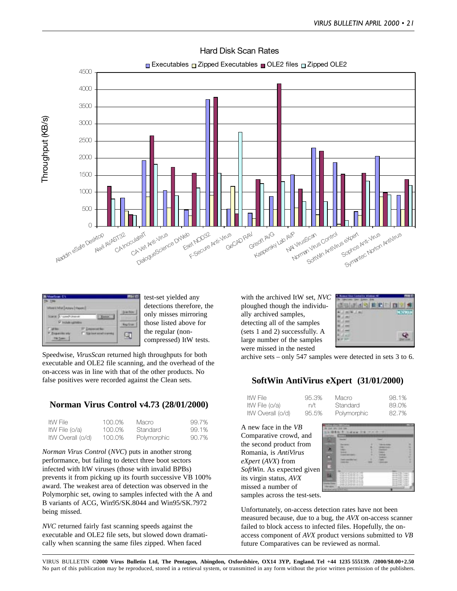

### Hard Disk Scan Rates



test-set yielded any detections therefore, the only misses mirroring those listed above for the regular (noncompressed) ItW tests.

Speedwise, *VirusScan* returned high throughputs for both executable and OLE2 file scanning, and the overhead of the on-access was in line with that of the other products. No false positives were recorded against the Clean sets.

## **Norman Virus Control v4.73 (28/01/2000)**

| ItW File          | 100.0% | Macro       | 99.7% |
|-------------------|--------|-------------|-------|
| ItW File (o/a)    | 100.0% | Standard    | 99.1% |
| ItW Overall (o/d) | 100.0% | Polymorphic | 90.7% |

*Norman Virus Control* (*NVC*) puts in another strong performance, but failing to detect three boot sectors infected with ItW viruses (those with invalid BPBs) prevents it from picking up its fourth successive VB 100% award. The weakest area of detection was observed in the Polymorphic set, owing to samples infected with the A and B variants of ACG, Win95/SK.8044 and Win95/SK.7972 being missed.

*NVC* returned fairly fast scanning speeds against the executable and OLE2 file sets, but slowed down dramatically when scanning the same files zipped. When faced

with the archived ItW set, *NVC* ploughed though the individually archived samples, detecting all of the samples (sets 1 and 2) successfully. A large number of the samples were missed in the nested

| ×                |
|------------------|
|                  |
|                  |
| <b>The State</b> |
|                  |
|                  |

archive sets – only 547 samples were detected in sets 3 to 6.

## **SoftWin AntiVirus eXpert (31/01/2000)**

| ItW File          | 95.3% | Macro.      | 98.1% |
|-------------------|-------|-------------|-------|
| ItW File (o/a)    | n/t   | Standard    | 89.0% |
| ItW Overall (o/d) | 95.5% | Polymorphic | 82.7% |

A new face in the *VB* Comparative crowd, and the second product from Romania, is *AntiVirus eXpert* (*AVX*) from *SoftWin*. As expected given its virgin status, *AVX* missed a number of samples across the test-sets.



Unfortunately, on-access detection rates have not been measured because, due to a bug, the *AVX* on-access scanner failed to block access to infected files. Hopefully, the onaccess component of *AVX* product versions submitted to *VB* future Comparatives can be reviewed as normal.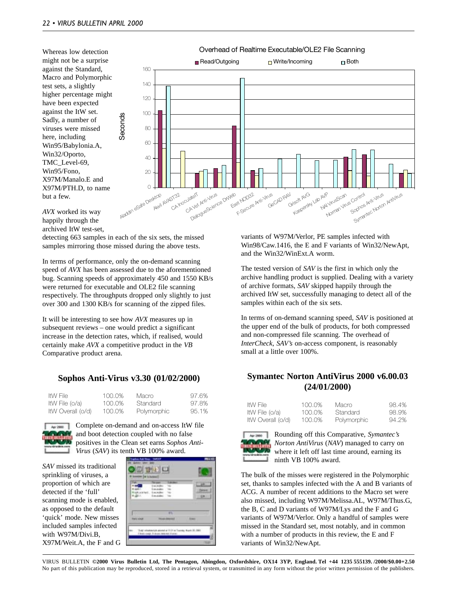Whereas low detection might not be a surprise against the Standard, Macro and Polymorphic test sets, a slightly higher percentage might have been expected against the ItW set. Sadly, a number of viruses were missed here, including Win95/Babylonia.A, Win32/Oporto, TMC\_Level-69, Win95/Fono, X97M/Manalo.E and X97M/PTH.D, to name but a few.



*AVX* worked its way happily through the archived ItW test-set,

detecting 663 samples in each of the six sets, the missed samples mirroring those missed during the above tests.

In terms of performance, only the on-demand scanning speed of *AVX* has been assessed due to the aforementioned bug. Scanning speeds of approximately 450 and 1550 KB/s were returned for executable and OLE2 file scanning respectively. The throughputs dropped only slightly to just over 300 and 1300 KB/s for scanning of the zipped files.

It will be interesting to see how *AVX* measures up in subsequent reviews – one would predict a significant increase in the detection rates, which, if realised, would certainly make *AVX* a competitive product in the *VB* Comparative product arena.

#### **Sophos Anti-Virus v3.30 (01/02/2000)**

| ItW File          | 100.0% | Macro       | 97.6% |
|-------------------|--------|-------------|-------|
| ItW File (o/a)    | 100.0% | Standard    | 97.8% |
| ItW Overall (o/d) | 100.0% | Polymorphic | 95.1% |



Complete on-demand and on-access ItW file and boot detection coupled with no false positives in the Clean set earns *Sophos Anti-Virus* (*SAV*) its tenth VB 100% award.

*SAV* missed its traditional sprinkling of viruses, a proportion of which are detected if the 'full' scanning mode is enabled, as opposed to the default 'quick' mode. New misses included samples infected with W97M/Divi.B, X97M/Weit.A, the F and G

|                   | m                  |              |
|-------------------|--------------------|--------------|
| <b>Flams pump</b> | <b>Rock-Dental</b> | <b>Allen</b> |

variants of W97M/Verlor, PE samples infected with Win98/Caw.1416, the E and F variants of Win32/NewApt, and the Win32/WinExt.A worm.

The tested version of *SAV* is the first in which only the archive handling product is supplied. Dealing with a variety of archive formats, *SAV* skipped happily through the archived ItW set, successfully managing to detect all of the samples within each of the six sets.

In terms of on-demand scanning speed, *SAV* is positioned at the upper end of the bulk of products, for both compressed and non-compressed file scanning. The overhead of *InterCheck*, *SAV's* on-access component, is reasonably small at a little over 100%.

### **Symantec Norton AntiVirus 2000 v6.00.03 (24/01/2000)**

| ItW File          | 100.0% | Macro       | 98.4% |
|-------------------|--------|-------------|-------|
| ItW File (o/a)    | 100.0% | Standard    | 98.9% |
| ItW Overall (o/d) | 100.0% | Polymorphic | 94.2% |



Rounding off this Comparative, *Symantec's Norton AntiVirus* (*NAV*) managed to carry on where it left off last time around, earning its ninth VB 100% award.

The bulk of the misses were registered in the Polymorphic set, thanks to samples infected with the A and B variants of ACG. A number of recent additions to the Macro set were also missed, including W97M/Melissa.AL, W97M/Thus.G, the B, C and D variants of W97M/Lys and the F and G variants of W97M/Verlor. Only a handful of samples were missed in the Standard set, most notably, and in common with a number of products in this review, the E and F variants of Win32/NewApt.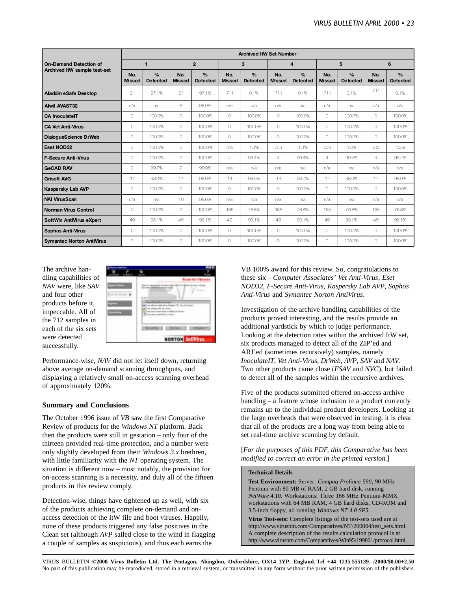|                                  | <b>Archived ItW Set Number</b> |                                  |                      |                                  |                      |                                  |                      |                                  |                      |                                  |                      |                                       |
|----------------------------------|--------------------------------|----------------------------------|----------------------|----------------------------------|----------------------|----------------------------------|----------------------|----------------------------------|----------------------|----------------------------------|----------------------|---------------------------------------|
| <b>On-Demand Detection of</b>    |                                | $\mathbf{1}$                     |                      | $\overline{2}$                   |                      | 3                                |                      | $\overline{4}$                   |                      | 5                                |                      | 6                                     |
| Archived ItW sample test-set     | No.<br><b>Missed</b>           | $\frac{0}{0}$<br><b>Detected</b> | No.<br><b>Missed</b> | $\frac{0}{0}$<br><b>Detected</b> | No.<br><b>Missed</b> | $\frac{0}{0}$<br><b>Detected</b> | No.<br><b>Missed</b> | $\frac{0}{0}$<br><b>Detected</b> | No.<br><b>Missed</b> | $\frac{0}{0}$<br><b>Detected</b> | No.<br><b>Missed</b> | $\frac{0}{\alpha}$<br><b>Detected</b> |
| <b>Aladdin eSafe Desktop</b>     | 21                             | 97.1%                            | 21                   | 97.1%                            | 711                  | 0.1%                             | 711                  | 0.1%                             | 711                  | 0.1%                             | 711                  | 0.1%                                  |
| <b>Alwil AVAST32</b>             | n/a                            | n/a                              | 8                    | 98.9%                            | n/a                  | n/a                              | n/a                  | n/a                              | n/a                  | n/a                              | n/a                  | n/a                                   |
| <b>CA InoculateIT</b>            | $\bigcap$                      | 100.0%                           | $\bigcap$            | 100.0%                           | $\bigcap$            | 100.0%                           | $\bigcap$            | 100.0%                           | $\bigcap$            | 100.0%                           | $\bigcap$            | 100.0%                                |
| <b>CA Vet Anti-Virus</b>         | $\bigcap$                      | 100.0%                           | $\bigcap$            | 100.0%                           | $\bigcap$            | 100.0%                           | $\bigcap$            | 100.0%                           | $\bigcap$            | 100.0%                           | $\bigcirc$           | 100.0%                                |
| DialogueScience DrWeb            | $\bigcap$                      | 100.0%                           | $\bigcap$            | 100.0%                           | $\bigcap$            | 100.0%                           | $\bigcap$            | 100.0%                           | $\bigcap$            | 100.0%                           | $\bigcap$            | 100.0%                                |
| <b>Eset NOD32</b>                | $\bigcap$                      | 100.0%                           | $\bigcap$            | 100.0%                           | 703                  | 1.3%                             | 703                  | 1.3%                             | 703                  | 1.3%                             | 703                  | 1.3%                                  |
| <b>F-Secure Anti-Virus</b>       | $\bigcap$                      | 100.0%                           | $\bigcap$            | 100.0%                           | $\overline{4}$       | 99.4%                            | $\overline{4}$       | 99.4%                            | 4                    | 99.4%                            | $\overline{4}$       | 99.4%                                 |
| <b>GeCAD RAV</b>                 | $\overline{2}$                 | 99.7%                            | $\overline{7}$       | 99.0%                            | n/a                  | n/a                              | n/a                  | n/a                              | n/a                  | n/a                              | n/a                  | n/a                                   |
| <b>Grisoft AVG</b>               | 14                             | 98.0%                            | 14                   | 98.0%                            | 14                   | 98.0%                            | 14                   | 98.0%                            | 14                   | 98.0%                            | 14                   | 98.0%                                 |
| <b>Kaspersky Lab AVP</b>         | 0                              | 100.0%                           | $\bigcap$            | 100.0%                           | $\bigcap$            | 100.0%                           | $\bigcap$            | 100.0%                           | $\bigcap$            | 100.0%                           | $\bigcap$            | 100.0%                                |
| <b>NAI VirusScan</b>             | n/a                            | n/a                              | 10                   | 98.6%                            | n/a                  | n/a                              | n/a                  | n/a                              | n/a                  | n/a                              | n/a                  | n/a                                   |
| Norman Virus Control             | $\circ$                        | 100.0%                           | $\cap$               | 100.0%                           | 165                  | 76.8%                            | 165                  | 76.8%                            | 165                  | 76.8%                            | 165                  | 76.8%                                 |
| SoftWin AntiVirus eXpert         | 49                             | 93.1%                            | 49                   | 93.1%                            | 49                   | 93.1%                            | 49                   | 93.1%                            | 49                   | 93.1%                            | 49                   | 93.1%                                 |
| Sophos Anti-Virus                | 0                              | 100.0%                           | $\bigcap$            | 100.0%                           | $\circ$              | 100.0%                           | $\bigcap$            | 100.0%                           | $\bigcap$            | 100.0%                           | $\bigcap$            | 100.0%                                |
| <b>Symantec Norton AntiVirus</b> | $\bigcap$                      | 100.0%                           | $\bigcap$            | 100.0%                           | $\bigcap$            | 100.0%                           | $\bigcap$            | 100.0%                           | $\bigcap$            | 100.0%                           | $\bigcap$            | 100.0%                                |

The archive handling capabilities of *NAV* were, like *SAV* and four other products before it, impeccable. All of the 712 samples in each of the six sets were detected successfully.



Performance-wise, *NAV* did not let itself down, returning above average on-demand scanning throughputs, and displaying a relatively small on-access scanning overhead of approximately 120%.

#### **Summary and Conclusions**

The October 1996 issue of *VB* saw the first Comparative Review of products for the *Windows NT* platform. Back then the products were still in gestation – only four of the thirteen provided real-time protection, and a number were only slightly developed from their *Windows 3.x* brethren, with little familiarity with the *NT* operating system. The situation is different now – most notably, the provision for on-access scanning is a necessity, and duly all of the fifteen products in this review comply.

Detection-wise, things have tightened up as well, with six of the products achieving complete on-demand and onaccess detection of the ItW file and boot viruses. Happily, none of these products triggered any false positives in the Clean set (although *AVP* sailed close to the wind in flagging a couple of samples as suspicious), and thus each earns the

VB 100% award for this review. So, congratulations to these six – *Computer Associates' Vet Anti-Virus*, *Eset NOD32*, *F-Secure Anti-Virus*, *Kaspersky Lab AVP*, *Sophos Anti-Virus* and *Symantec Norton AntiVirus*.

Investigation of the archive handling capabilities of the products proved interesting, and the results provide an additional yardstick by which to judge performance. Looking at the detection rates within the archived ItW set, six products managed to detect all of the ZIP'ed and ARJ'ed (sometimes recursively) samples, namely *InoculateIT*, *Vet Anti-Virus*, *DrWeb*, *AVP*, *SAV* and *NAV*. Two other products came close (*FSAV* and *NVC*), but failed to detect all of the samples within the recursive archives.

Five of the products submitted offered on-access archive handling – a feature whose inclusion in a product currently remains up to the individual product developers. Looking at the large overheads that were observed in testing, it is clear that all of the products are a long way from being able to set real-time archive scanning by default.

[*For the purposes of this PDF, this Comparative has been modified to correct an error in the printed version.*]

#### **Technical Details**

**Test Environment:** Server: *Compaq Prolinea 590*, 90 MHz Pentium with 80 MB of RAM, 2 GB hard disk, running *NetWare* 4.10. Workstations: Three 166 MHz Pentium-MMX workstations with 64 MB RAM, 4 GB hard disks, CD-ROM and 3.5-inch floppy, all running *Windows NT 4.0 SP5*.

**Virus Test-sets:** Complete listings of the test-sets used are at http://www.virusbtn.com/Comparatives/NT/200004/test\_sets.html. A complete description of the results calculation protocol is at http://www.virusbtn.com/Comparatives/Win95/199801/protocol.html.